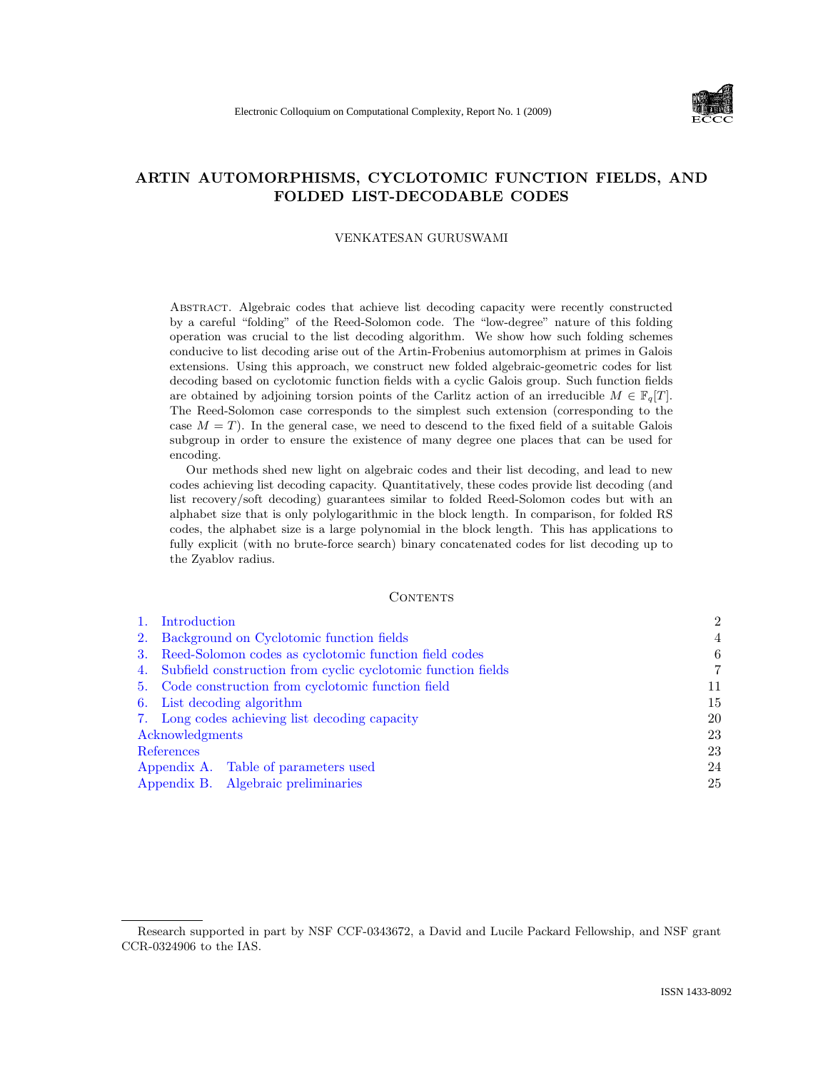

# ARTIN AUTOMORPHISMS, CYCLOTOMIC FUNCTION FIELDS, AND FOLDED LIST-DECODABLE CODES

## VENKATESAN GURUSWAMI

Abstract. Algebraic codes that achieve list decoding capacity were recently constructed by a careful "folding" of the Reed-Solomon code. The "low-degree" nature of this folding operation was crucial to the list decoding algorithm. We show how such folding schemes conducive to list decoding arise out of the Artin-Frobenius automorphism at primes in Galois extensions. Using this approach, we construct new folded algebraic-geometric codes for list decoding based on cyclotomic function fields with a cyclic Galois group. Such function fields are obtained by adjoining torsion points of the Carlitz action of an irreducible  $M \in \mathbb{F}_q[T]$ . The Reed-Solomon case corresponds to the simplest such extension (corresponding to the case  $M = T$ ). In the general case, we need to descend to the fixed field of a suitable Galois subgroup in order to ensure the existence of many degree one places that can be used for encoding.

Our methods shed new light on algebraic codes and their list decoding, and lead to new codes achieving list decoding capacity. Quantitatively, these codes provide list decoding (and list recovery/soft decoding) guarantees similar to folded Reed-Solomon codes but with an alphabet size that is only polylogarithmic in the block length. In comparison, for folded RS codes, the alphabet size is a large polynomial in the block length. This has applications to fully explicit (with no brute-force search) binary concatenated codes for list decoding up to the Zyablov radius.

#### **CONTENTS**

| 1.              | Introduction                                                    | $\overline{2}$ |
|-----------------|-----------------------------------------------------------------|----------------|
| 2.              | Background on Cyclotomic function fields                        | 4              |
| 3.              | Reed-Solomon codes as cyclotomic function field codes           | 6              |
|                 | 4. Subfield construction from cyclic cyclotomic function fields | 7              |
|                 | 5. Code construction from cyclotomic function field             | 11             |
|                 | 6. List decoding algorithm                                      | 15             |
|                 | 7. Long codes achieving list decoding capacity                  | 20             |
| Acknowledgments |                                                                 | 23             |
|                 | References                                                      | 23             |
|                 | Appendix A. Table of parameters used                            | 24             |
|                 | Appendix B. Algebraic preliminaries                             | 25             |

Research supported in part by NSF CCF-0343672, a David and Lucile Packard Fellowship, and NSF grant CCR-0324906 to the IAS.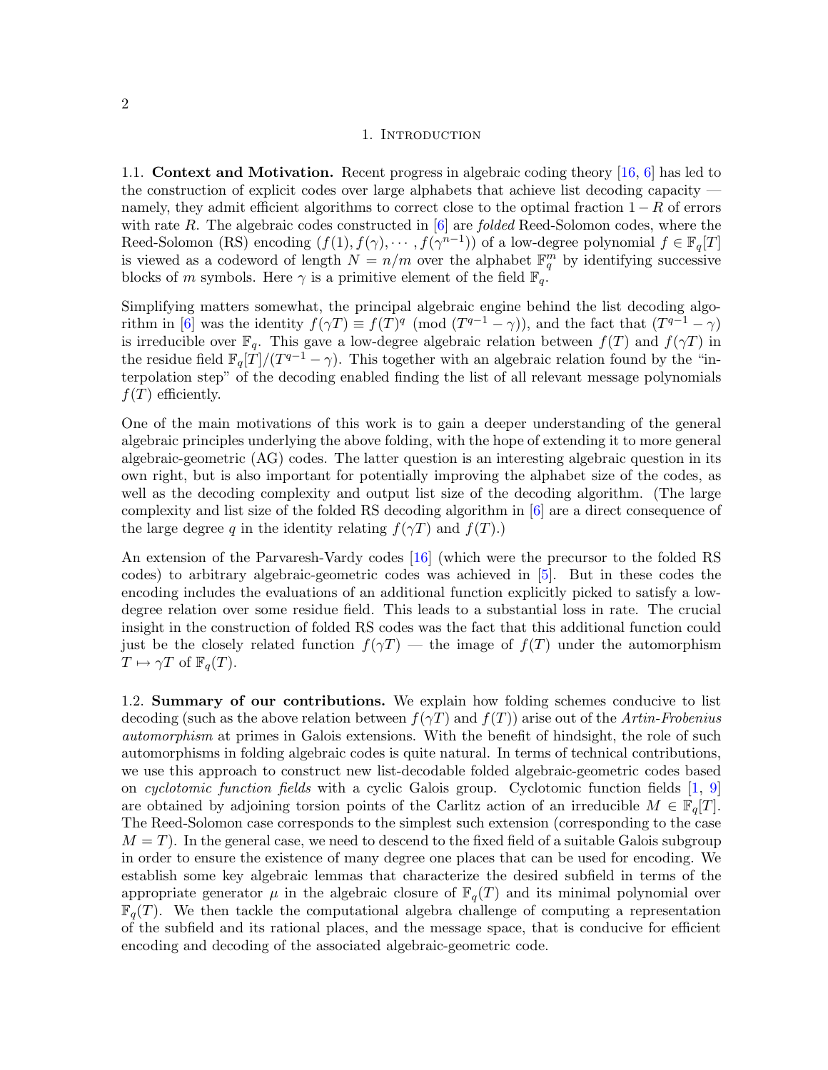### 1. INTRODUCTION

<span id="page-1-0"></span>1.1. Context and Motivation. Recent progress in algebraic coding theory [\[16,](#page-22-2) [6\]](#page-22-3) has led to the construction of explicit codes over large alphabets that achieve list decoding capacity namely, they admit efficient algorithms to correct close to the optimal fraction  $1 - R$  of errors with rate R. The algebraic codes constructed in  $[6]$  are *folded* Reed-Solomon codes, where the Reed-Solomon (RS) encoding  $(f(1), f(\gamma), \cdots, f(\gamma^{n-1}))$  of a low-degree polynomial  $f \in \mathbb{F}_q[T]$ is viewed as a codeword of length  $N = n/m$  over the alphabet  $\mathbb{F}_q^m$  by identifying successive blocks of m symbols. Here  $\gamma$  is a primitive element of the field  $\mathbb{F}_q$ .

Simplifying matters somewhat, the principal algebraic engine behind the list decoding algo-rithm in [\[6\]](#page-22-3) was the identity  $f(\gamma T) \equiv f(T)^q \pmod{T^{q-1} - \gamma}$ , and the fact that  $(T^{q-1} - \gamma)$ is irreducible over  $\mathbb{F}_q$ . This gave a low-degree algebraic relation between  $f(T)$  and  $f(\gamma T)$  in the residue field  $\mathbb{F}_q[T]/(T^{q-1} - \gamma)$ . This together with an algebraic relation found by the "interpolation step" of the decoding enabled finding the list of all relevant message polynomials  $f(T)$  efficiently.

One of the main motivations of this work is to gain a deeper understanding of the general algebraic principles underlying the above folding, with the hope of extending it to more general algebraic-geometric (AG) codes. The latter question is an interesting algebraic question in its own right, but is also important for potentially improving the alphabet size of the codes, as well as the decoding complexity and output list size of the decoding algorithm. (The large complexity and list size of the folded RS decoding algorithm in [\[6\]](#page-22-3) are a direct consequence of the large degree q in the identity relating  $f(\gamma T)$  and  $f(T)$ .)

An extension of the Parvaresh-Vardy codes [\[16\]](#page-22-2) (which were the precursor to the folded RS codes) to arbitrary algebraic-geometric codes was achieved in [\[5\]](#page-22-4). But in these codes the encoding includes the evaluations of an additional function explicitly picked to satisfy a lowdegree relation over some residue field. This leads to a substantial loss in rate. The crucial insight in the construction of folded RS codes was the fact that this additional function could just be the closely related function  $f(\gamma T)$  — the image of  $f(T)$  under the automorphism  $T \mapsto \gamma T$  of  $\mathbb{F}_q(T)$ .

1.2. Summary of our contributions. We explain how folding schemes conducive to list decoding (such as the above relation between  $f(\gamma T)$  and  $f(T)$ ) arise out of the Artin-Frobenius automorphism at primes in Galois extensions. With the benefit of hindsight, the role of such automorphisms in folding algebraic codes is quite natural. In terms of technical contributions, we use this approach to construct new list-decodable folded algebraic-geometric codes based on cyclotomic function fields with a cyclic Galois group. Cyclotomic function fields  $[1, 9]$  $[1, 9]$ are obtained by adjoining torsion points of the Carlitz action of an irreducible  $M \in \mathbb{F}_q[T]$ . The Reed-Solomon case corresponds to the simplest such extension (corresponding to the case  $M = T$ ). In the general case, we need to descend to the fixed field of a suitable Galois subgroup in order to ensure the existence of many degree one places that can be used for encoding. We establish some key algebraic lemmas that characterize the desired subfield in terms of the appropriate generator  $\mu$  in the algebraic closure of  $\mathbb{F}_q(T)$  and its minimal polynomial over  $\mathbb{F}_q(T)$ . We then tackle the computational algebra challenge of computing a representation of the subfield and its rational places, and the message space, that is conducive for efficient encoding and decoding of the associated algebraic-geometric code.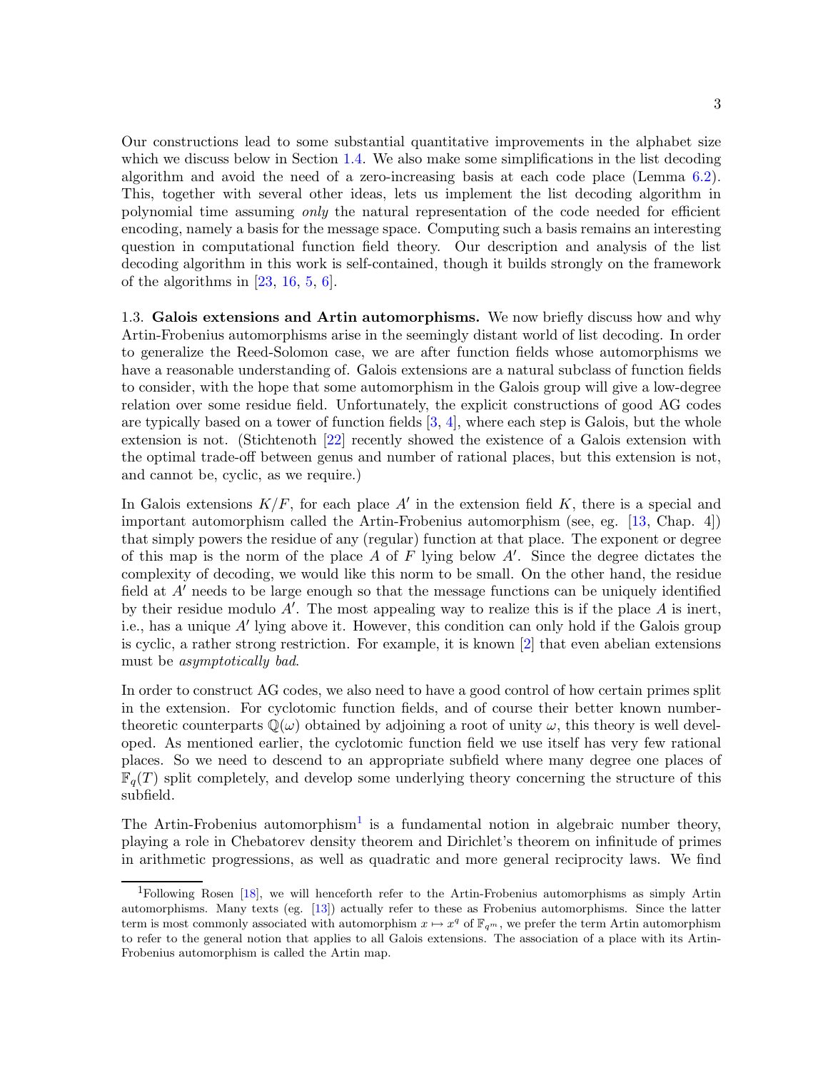Our constructions lead to some substantial quantitative improvements in the alphabet size which we discuss below in Section [1.4.](#page-3-1) We also make some simplifications in the list decoding algorithm and avoid the need of a zero-increasing basis at each code place (Lemma [6.2\)](#page-16-0). This, together with several other ideas, lets us implement the list decoding algorithm in polynomial time assuming only the natural representation of the code needed for efficient encoding, namely a basis for the message space. Computing such a basis remains an interesting question in computational function field theory. Our description and analysis of the list decoding algorithm in this work is self-contained, though it builds strongly on the framework of the algorithms in  $[23, 16, 5, 6]$  $[23, 16, 5, 6]$  $[23, 16, 5, 6]$  $[23, 16, 5, 6]$  $[23, 16, 5, 6]$  $[23, 16, 5, 6]$ .

1.3. Galois extensions and Artin automorphisms. We now briefly discuss how and why Artin-Frobenius automorphisms arise in the seemingly distant world of list decoding. In order to generalize the Reed-Solomon case, we are after function fields whose automorphisms we have a reasonable understanding of. Galois extensions are a natural subclass of function fields to consider, with the hope that some automorphism in the Galois group will give a low-degree relation over some residue field. Unfortunately, the explicit constructions of good AG codes are typically based on a tower of function fields  $[3, 4]$  $[3, 4]$ , where each step is Galois, but the whole extension is not. (Stichtenoth [\[22\]](#page-23-2) recently showed the existence of a Galois extension with the optimal trade-off between genus and number of rational places, but this extension is not, and cannot be, cyclic, as we require.)

In Galois extensions  $K/F$ , for each place A' in the extension field K, there is a special and important automorphism called the Artin-Frobenius automorphism (see, eg. [\[13,](#page-22-9) Chap. 4]) that simply powers the residue of any (regular) function at that place. The exponent or degree of this map is the norm of the place A of F lying below  $A'$ . Since the degree dictates the complexity of decoding, we would like this norm to be small. On the other hand, the residue field at  $A'$  needs to be large enough so that the message functions can be uniquely identified by their residue modulo  $A'$ . The most appealing way to realize this is if the place  $A$  is inert, i.e., has a unique  $A'$  lying above it. However, this condition can only hold if the Galois group is cyclic, a rather strong restriction. For example, it is known [\[2\]](#page-22-10) that even abelian extensions must be asymptotically bad.

In order to construct AG codes, we also need to have a good control of how certain primes split in the extension. For cyclotomic function fields, and of course their better known numbertheoretic counterparts  $\mathbb{Q}(\omega)$  obtained by adjoining a root of unity  $\omega$ , this theory is well developed. As mentioned earlier, the cyclotomic function field we use itself has very few rational places. So we need to descend to an appropriate subfield where many degree one places of  $\mathbb{F}_q(T)$  split completely, and develop some underlying theory concerning the structure of this subfield.

The Artin-Frobenius automorphism<sup>[1](#page-2-0)</sup> is a fundamental notion in algebraic number theory, playing a role in Chebatorev density theorem and Dirichlet's theorem on infinitude of primes in arithmetic progressions, as well as quadratic and more general reciprocity laws. We find

<span id="page-2-0"></span><sup>1</sup>Following Rosen [\[18\]](#page-22-11), we will henceforth refer to the Artin-Frobenius automorphisms as simply Artin automorphisms. Many texts (eg. [\[13\]](#page-22-9)) actually refer to these as Frobenius automorphisms. Since the latter term is most commonly associated with automorphism  $x \mapsto x^q$  of  $\mathbb{F}_{q^m}$ , we prefer the term Artin automorphism to refer to the general notion that applies to all Galois extensions. The association of a place with its Artin-Frobenius automorphism is called the Artin map.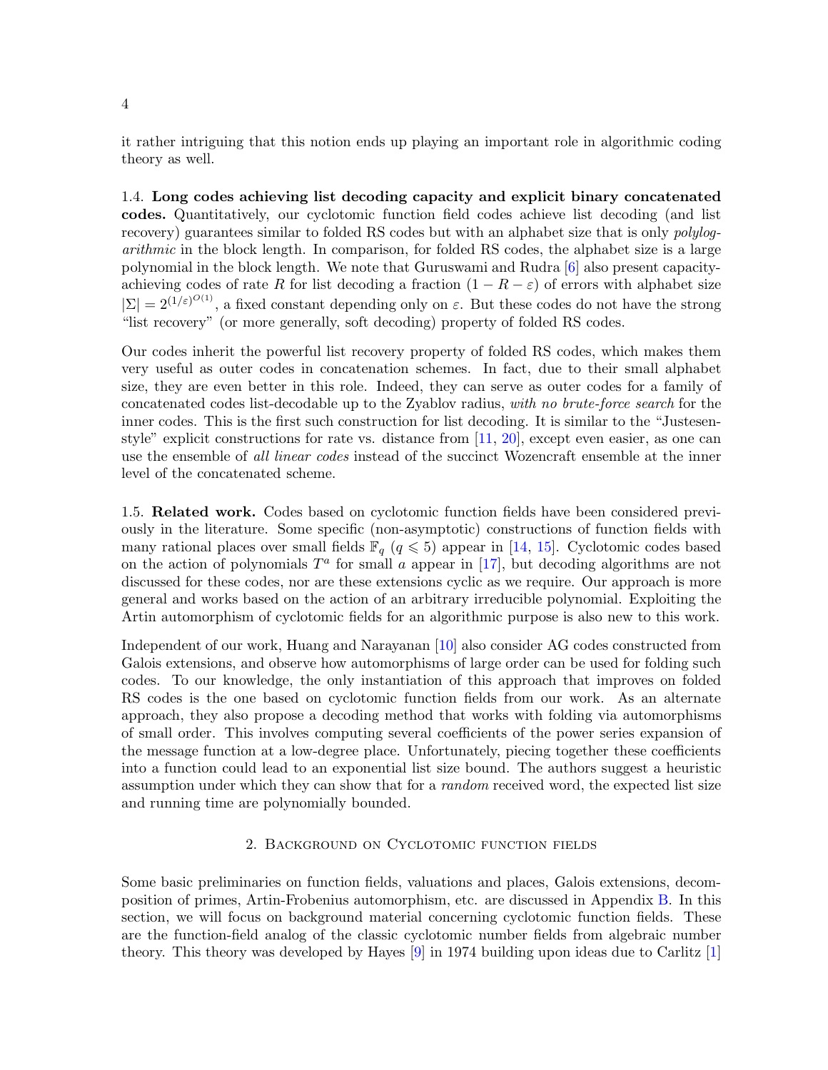<span id="page-3-1"></span>it rather intriguing that this notion ends up playing an important role in algorithmic coding theory as well.

1.4. Long codes achieving list decoding capacity and explicit binary concatenated codes. Quantitatively, our cyclotomic function field codes achieve list decoding (and list recovery) guarantees similar to folded RS codes but with an alphabet size that is only *polylog*arithmic in the block length. In comparison, for folded RS codes, the alphabet size is a large polynomial in the block length. We note that Guruswami and Rudra [\[6\]](#page-22-3) also present capacityachieving codes of rate R for list decoding a fraction  $(1 - R - \varepsilon)$  of errors with alphabet size  $|\Sigma| = 2^{(1/\varepsilon)^{O(1)}}$ , a fixed constant depending only on  $\varepsilon$ . But these codes do not have the strong "list recovery" (or more generally, soft decoding) property of folded RS codes.

Our codes inherit the powerful list recovery property of folded RS codes, which makes them very useful as outer codes in concatenation schemes. In fact, due to their small alphabet size, they are even better in this role. Indeed, they can serve as outer codes for a family of concatenated codes list-decodable up to the Zyablov radius, with no brute-force search for the inner codes. This is the first such construction for list decoding. It is similar to the "Justesenstyle" explicit constructions for rate vs. distance from [\[11,](#page-22-12) [20\]](#page-22-13), except even easier, as one can use the ensemble of all linear codes instead of the succinct Wozencraft ensemble at the inner level of the concatenated scheme.

<span id="page-3-2"></span>1.5. Related work. Codes based on cyclotomic function fields have been considered previously in the literature. Some specific (non-asymptotic) constructions of function fields with many rational places over small fields  $\mathbb{F}_q$   $(q \leq 5)$  appear in [\[14,](#page-22-14) [15\]](#page-22-15). Cyclotomic codes based on the action of polynomials  $T^a$  for small a appear in [\[17\]](#page-22-16), but decoding algorithms are not discussed for these codes, nor are these extensions cyclic as we require. Our approach is more general and works based on the action of an arbitrary irreducible polynomial. Exploiting the Artin automorphism of cyclotomic fields for an algorithmic purpose is also new to this work.

Independent of our work, Huang and Narayanan [\[10\]](#page-22-17) also consider AG codes constructed from Galois extensions, and observe how automorphisms of large order can be used for folding such codes. To our knowledge, the only instantiation of this approach that improves on folded RS codes is the one based on cyclotomic function fields from our work. As an alternate approach, they also propose a decoding method that works with folding via automorphisms of small order. This involves computing several coefficients of the power series expansion of the message function at a low-degree place. Unfortunately, piecing together these coefficients into a function could lead to an exponential list size bound. The authors suggest a heuristic assumption under which they can show that for a *random* received word, the expected list size and running time are polynomially bounded.

# 2. Background on Cyclotomic function fields

<span id="page-3-0"></span>Some basic preliminaries on function fields, valuations and places, Galois extensions, decomposition of primes, Artin-Frobenius automorphism, etc. are discussed in Appendix [B.](#page-24-0) In this section, we will focus on background material concerning cyclotomic function fields. These are the function-field analog of the classic cyclotomic number fields from algebraic number theory. This theory was developed by Hayes [\[9\]](#page-22-6) in 1974 building upon ideas due to Carlitz [\[1\]](#page-22-5)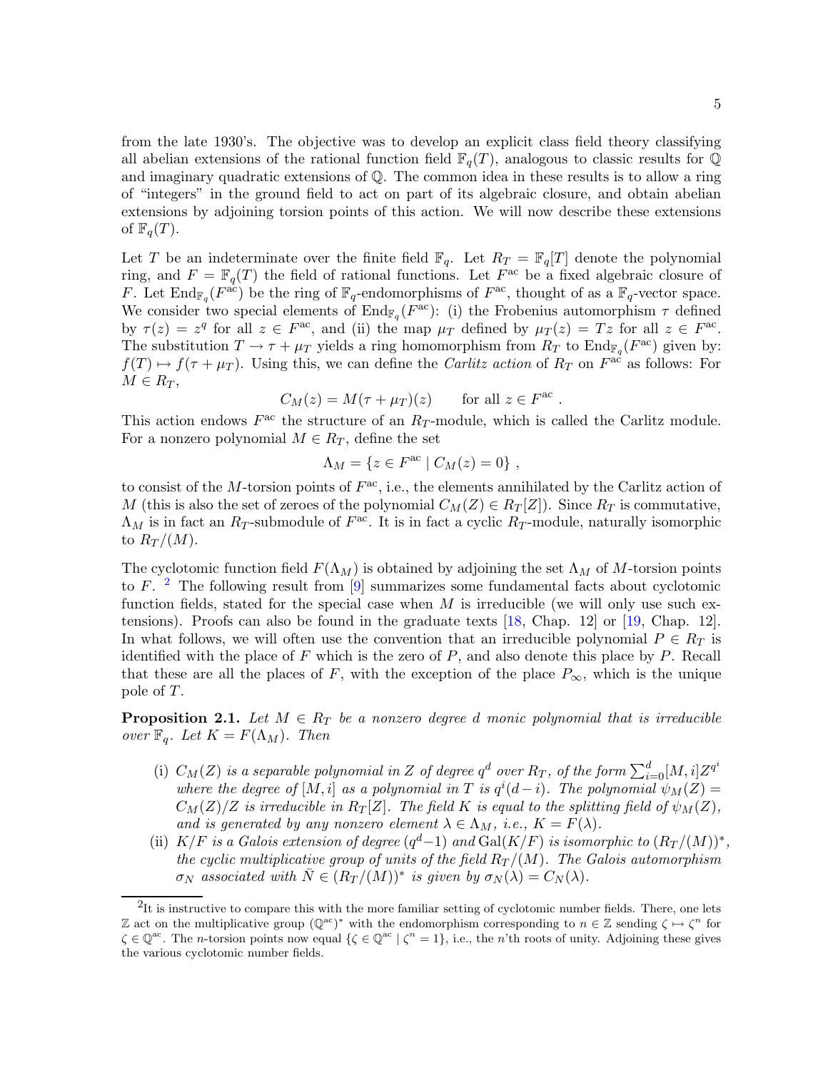from the late 1930's. The objective was to develop an explicit class field theory classifying all abelian extensions of the rational function field  $\mathbb{F}_q(T)$ , analogous to classic results for  $\mathbb{Q}$ and imaginary quadratic extensions of Q. The common idea in these results is to allow a ring of "integers" in the ground field to act on part of its algebraic closure, and obtain abelian extensions by adjoining torsion points of this action. We will now describe these extensions of  $\mathbb{F}_q(T)$ .

Let T be an indeterminate over the finite field  $\mathbb{F}_q$ . Let  $R_T = \mathbb{F}_q[T]$  denote the polynomial ring, and  $F = \mathbb{F}_q(T)$  the field of rational functions. Let  $F^{\text{ac}}$  be a fixed algebraic closure of F. Let  $\text{End}_{\mathbb{F}_q}(F^{\text{ac}})$  be the ring of  $\mathbb{F}_q$ -endomorphisms of  $F^{\text{ac}}$ , thought of as a  $\mathbb{F}_q$ -vector space. We consider two special elements of  $\text{End}_{\mathbb{F}_q}(F^{\text{ac}})$ : (i) the Frobenius automorphism  $\tau$  defined by  $\tau(z) = z^q$  for all  $z \in F^{ac}$ , and (ii) the map  $\mu_T$  defined by  $\mu_T(z) = Tz$  for all  $z \in F^{ac}$ . The substitution  $T \to \tau + \mu_T$  yields a ring homomorphism from  $R_T$  to  $\text{End}_{\mathbb{F}_q}(F^{\text{ac}})$  given by:  $f(T) \rightarrow f(\tau + \mu_T)$ . Using this, we can define the *Carlitz action* of  $R_T$  on  $F^{\text{ac}}$  as follows: For  $M \in R_T$ ,

$$
C_M(z) = M(\tau + \mu_T)(z) \quad \text{for all } z \in F^{\text{ac}}
$$

.

This action endows  $F^{\text{ac}}$  the structure of an  $R_T$ -module, which is called the Carlitz module. For a nonzero polynomial  $M \in R_T$ , define the set

$$
\Lambda_M = \{ z \in F^{\rm ac} \mid C_M(z) = 0 \},
$$

to consist of the M-torsion points of  $F^{ac}$ , i.e., the elements annihilated by the Carlitz action of M (this is also the set of zeroes of the polynomial  $C_M(Z) \in R_T[Z]$ ). Since  $R_T$  is commutative,  $\Lambda_M$  is in fact an  $R_T$ -submodule of  $F^{\text{ac}}$ . It is in fact a cyclic  $R_T$ -module, naturally isomorphic to  $R_T/(M)$ .

The cyclotomic function field  $F(\Lambda_M)$  is obtained by adjoining the set  $\Lambda_M$  of M-torsion points to F.  $^2$  $^2$  The following result from [\[9\]](#page-22-6) summarizes some fundamental facts about cyclotomic function fields, stated for the special case when  $M$  is irreducible (we will only use such extensions). Proofs can also be found in the graduate texts [\[18,](#page-22-11) Chap. 12] or [\[19,](#page-22-18) Chap. 12]. In what follows, we will often use the convention that an irreducible polynomial  $P \in R_T$  is identified with the place of  $F$  which is the zero of  $P$ , and also denote this place by  $P$ . Recall that these are all the places of F, with the exception of the place  $P_{\infty}$ , which is the unique pole of T.

<span id="page-4-1"></span>**Proposition 2.1.** Let  $M \in R_T$  be a nonzero degree d monic polynomial that is irreducible over  $\mathbb{F}_q$ . Let  $K = F(\Lambda_M)$ . Then

- (i)  $C_M(Z)$  is a separable polynomial in Z of degree  $q^d$  over  $R_T$ , of the form  $\sum_{i=0}^d [M,i] Z^{q^i}$ where the degree of  $[M, i]$  as a polynomial in T is  $q^{i}(d-i)$ . The polynomial  $\psi_M(Z) =$  $C_M(Z)/Z$  is irreducible in  $R_T[Z]$ . The field K is equal to the splitting field of  $\psi_M(Z)$ , and is generated by any nonzero element  $\lambda \in \Lambda_M$ , i.e.,  $K = F(\lambda)$ .
- (ii) K/F is a Galois extension of degree  $(q^d-1)$  and  $Gal(K/F)$  is isomorphic to  $(R_T/(M))^*$ , the cyclic multiplicative group of units of the field  $R_T/(M)$ . The Galois automorphism  $\sigma_N$  associated with  $\overline{N} \in (R_T/(M))^*$  is given by  $\sigma_N(\lambda) = C_N(\lambda)$ .

<span id="page-4-0"></span> ${}^{2}$ It is instructive to compare this with the more familiar setting of cyclotomic number fields. There, one lets Z act on the multiplicative group  $(\mathbb{Q}^{ac})^*$  with the endomorphism corresponding to  $n \in \mathbb{Z}$  sending  $\zeta \mapsto \zeta^n$  for  $\zeta \in \mathbb{Q}^{ac}$ . The *n*-torsion points now equal  $\{\zeta \in \mathbb{Q}^{ac} \mid \zeta^n = 1\}$ , i.e., the *n*'th roots of unity. Adjoining these gives the various cyclotomic number fields.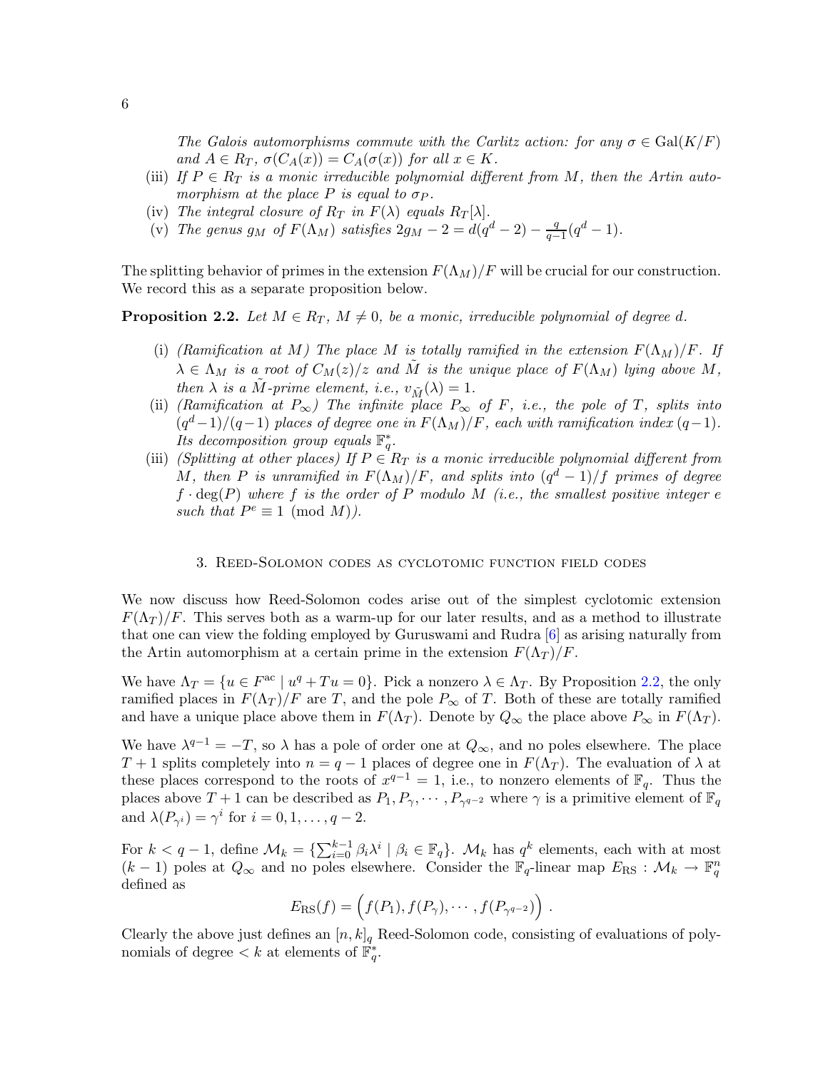The Galois automorphisms commute with the Carlitz action: for any  $\sigma \in \text{Gal}(K/F)$ and  $A \in R_T$ ,  $\sigma(C_A(x)) = C_A(\sigma(x))$  for all  $x \in K$ .

- (iii) If  $P \in R_T$  is a monic irreducible polynomial different from M, then the Artin automorphism at the place P is equal to  $\sigma_P$ .
- (iv) The integral closure of  $R_T$  in  $F(\lambda)$  equals  $R_T[\lambda]$ .
- (v) The genus  $g_M$  of  $F(\Lambda_M)$  satisfies  $2g_M 2 = d(q^d 2) \frac{q^d}{q^d}$  $\frac{q}{q-1}(q^d-1).$

<span id="page-5-1"></span>The splitting behavior of primes in the extension  $F(\Lambda_M)/F$  will be crucial for our construction. We record this as a separate proposition below.

**Proposition 2.2.** Let  $M \in R_T$ ,  $M \neq 0$ , be a monic, irreducible polynomial of degree d.

- (i) (Ramification at M) The place M is totally ramified in the extension  $F(\Lambda_M)/F$ . If  $\lambda \in \Lambda_M$  is a root of  $C_M(z)/z$  and M is the unique place of  $F(\Lambda_M)$  lying above M, then  $\lambda$  is a M-prime element, i.e.,  $v_{\tilde{M}}(\lambda) = 1$ .
- (ii) (Ramification at  $P_{\infty}$ ) The infinite place  $P_{\infty}$  of F, i.e., the pole of T, splits into  $(q<sup>d</sup>-1)/(q-1)$  places of degree one in  $F(\Lambda_M)/F$ , each with ramification index  $(q-1)$ . Its decomposition group equals  $\mathbb{F}_q^*$ .
- (iii) (Splitting at other places) If  $P \in R_T$  is a monic irreducible polynomial different from M, then P is unramified in  $F(\Lambda_M)/F$ , and splits into  $(q^d-1)/f$  primes of degree  $f \cdot \deg(P)$  where f is the order of P modulo M (i.e., the smallest positive integer e such that  $P^e \equiv 1 \pmod{M}$ .

#### 3. Reed-Solomon codes as cyclotomic function field codes

<span id="page-5-0"></span>We now discuss how Reed-Solomon codes arise out of the simplest cyclotomic extension  $F(\Lambda_T)/F$ . This serves both as a warm-up for our later results, and as a method to illustrate that one can view the folding employed by Guruswami and Rudra [\[6\]](#page-22-3) as arising naturally from the Artin automorphism at a certain prime in the extension  $F(\Lambda_T)/F$ .

We have  $\Lambda_T = \{u \in F^{\text{ac}} \mid u^q + Tu = 0\}$ . Pick a nonzero  $\lambda \in \Lambda_T$ . By Proposition [2.2,](#page-5-1) the only ramified places in  $F(\Lambda_T)/F$  are T, and the pole  $P_{\infty}$  of T. Both of these are totally ramified and have a unique place above them in  $F(\Lambda_T)$ . Denote by  $Q_{\infty}$  the place above  $P_{\infty}$  in  $F(\Lambda_T)$ .

We have  $\lambda^{q-1} = -T$ , so  $\lambda$  has a pole of order one at  $Q_{\infty}$ , and no poles elsewhere. The place T + 1 splits completely into  $n = q - 1$  places of degree one in  $F(\Lambda_T)$ . The evaluation of  $\lambda$  at these places correspond to the roots of  $x^{q-1} = 1$ , i.e., to nonzero elements of  $\mathbb{F}_q$ . Thus the places above  $T+1$  can be described as  $P_1, P_\gamma, \cdots, P_{\gamma^{q-2}}$  where  $\gamma$  is a primitive element of  $\mathbb{F}_q$ and  $\lambda(P_{\gamma^i}) = \gamma^i$  for  $i = 0, 1, ..., q - 2$ .

For  $k < q-1$ , define  $\mathcal{M}_k = \{\sum_{i=0}^{k-1} \beta_i \lambda^i \mid \beta_i \in \mathbb{F}_q\}$ .  $\mathcal{M}_k$  has  $q^k$  elements, each with at most  $(k-1)$  poles at  $Q_{\infty}$  and no poles elsewhere. Consider the  $\mathbb{F}_q$ -linear map  $E_{\text{RS}} : \mathcal{M}_k \to \mathbb{F}_q^n$ defined as

$$
E_{\rm RS}(f) = \left(f(P_1), f(P_{\gamma}), \cdots, f(P_{\gamma^{q-2}})\right).
$$

Clearly the above just defines an  $[n,k]_q$  Reed-Solomon code, consisting of evaluations of polynomials of degree  $\lt k$  at elements of  $\mathbb{F}_q^*$ .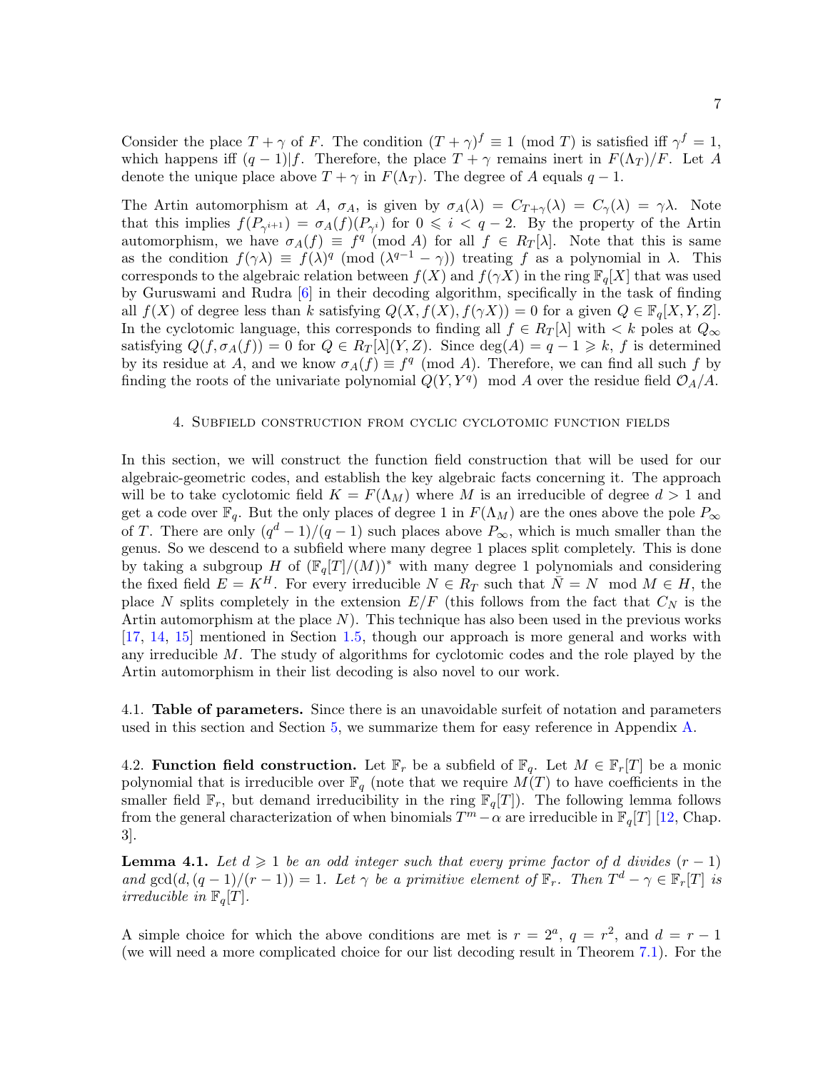Consider the place  $T + \gamma$  of F. The condition  $(T + \gamma)^f \equiv 1 \pmod{T}$  is satisfied iff  $\gamma^f = 1$ , which happens iff  $(q-1)|f$ . Therefore, the place  $T + \gamma$  remains inert in  $F(\Lambda_T)/F$ . Let A denote the unique place above  $T + \gamma$  in  $F(\Lambda_T)$ . The degree of A equals  $q - 1$ .

The Artin automorphism at A,  $\sigma_A$ , is given by  $\sigma_A(\lambda) = C_{T+\gamma}(\lambda) = C_{\gamma}(\lambda) = \gamma \lambda$ . Note that this implies  $f(P_{\gamma^{i+1}}) = \sigma_A(f)(P_{\gamma^i})$  for  $0 \leq i < q-2$ . By the property of the Artin automorphism, we have  $\sigma_A(f) \equiv f^q \pmod{A}$  for all  $f \in R_T[\lambda]$ . Note that this is same as the condition  $f(\gamma \lambda) \equiv f(\lambda)^q \pmod{(\lambda^{q-1} - \gamma)}$  treating f as a polynomial in  $\lambda$ . This corresponds to the algebraic relation between  $f(X)$  and  $f(\gamma X)$  in the ring  $\mathbb{F}_q[X]$  that was used by Guruswami and Rudra [\[6\]](#page-22-3) in their decoding algorithm, specifically in the task of finding all  $f(X)$  of degree less than k satisfying  $Q(X, f(X), f(\gamma X)) = 0$  for a given  $Q \in \mathbb{F}_q[X, Y, Z]$ . In the cyclotomic language, this corresponds to finding all  $f \in R_T[\lambda]$  with  $\lt k$  poles at  $Q_\infty$ satisfying  $Q(f, \sigma_A(f)) = 0$  for  $Q \in R_T[\lambda](Y, Z)$ . Since  $\deg(A) = q - 1 \geq k$ , f is determined by its residue at A, and we know  $\sigma_A(f) \equiv f^q \pmod{A}$ . Therefore, we can find all such f by finding the roots of the univariate polynomial  $Q(Y, Y^q)$  mod A over the residue field  $\mathcal{O}_A/A$ .

# 4. Subfield construction from cyclic cyclotomic function fields

<span id="page-6-0"></span>In this section, we will construct the function field construction that will be used for our algebraic-geometric codes, and establish the key algebraic facts concerning it. The approach will be to take cyclotomic field  $K = F(\Lambda_M)$  where M is an irreducible of degree  $d > 1$  and get a code over  $\mathbb{F}_q$ . But the only places of degree 1 in  $F(\Lambda_M)$  are the ones above the pole  $P_\infty$ of T. There are only  $(q^d-1)/(q-1)$  such places above  $P_{\infty}$ , which is much smaller than the genus. So we descend to a subfield where many degree 1 places split completely. This is done by taking a subgroup H of  $(\mathbb{F}_q[T]/(M))^*$  with many degree 1 polynomials and considering the fixed field  $E = K^H$ . For every irreducible  $N \in R_T$  such that  $\overline{N} = N \mod M \in H$ , the place N splits completely in the extension  $E/F$  (this follows from the fact that  $C<sub>N</sub>$  is the Artin automorphism at the place  $N$ ). This technique has also been used in the previous works [\[17,](#page-22-16) [14,](#page-22-14) [15\]](#page-22-15) mentioned in Section [1.5,](#page-3-2) though our approach is more general and works with any irreducible M. The study of algorithms for cyclotomic codes and the role played by the Artin automorphism in their list decoding is also novel to our work.

4.1. Table of parameters. Since there is an unavoidable surfeit of notation and parameters used in this section and Section [5,](#page-10-0) we summarize them for easy reference in Appendix [A.](#page-23-0)

4.2. Function field construction. Let  $\mathbb{F}_r$  be a subfield of  $\mathbb{F}_q$ . Let  $M \in \mathbb{F}_r[T]$  be a monic polynomial that is irreducible over  $\mathbb{F}_q$  (note that we require  $M(T)$  to have coefficients in the smaller field  $\mathbb{F}_r$ , but demand irreducibility in the ring  $\mathbb{F}_q[T]$ ). The following lemma follows from the general characterization of when binomials  $T^m - \alpha$  are irreducible in  $\mathbb{F}_q[T]$  [\[12,](#page-22-19) Chap. 3].

<span id="page-6-1"></span>**Lemma 4.1.** Let  $d \geq 1$  be an odd integer such that every prime factor of d divides  $(r - 1)$ and  $gcd(d, (q-1)/(r-1)) = 1$ . Let  $\gamma$  be a primitive element of  $\mathbb{F}_r$ . Then  $T^d - \gamma \in \mathbb{F}_r[T]$  is irreducible in  $\mathbb{F}_q[T]$ .

A simple choice for which the above conditions are met is  $r = 2^a$ ,  $q = r^2$ , and  $d = r - 1$ (we will need a more complicated choice for our list decoding result in Theorem [7.1\)](#page-20-0). For the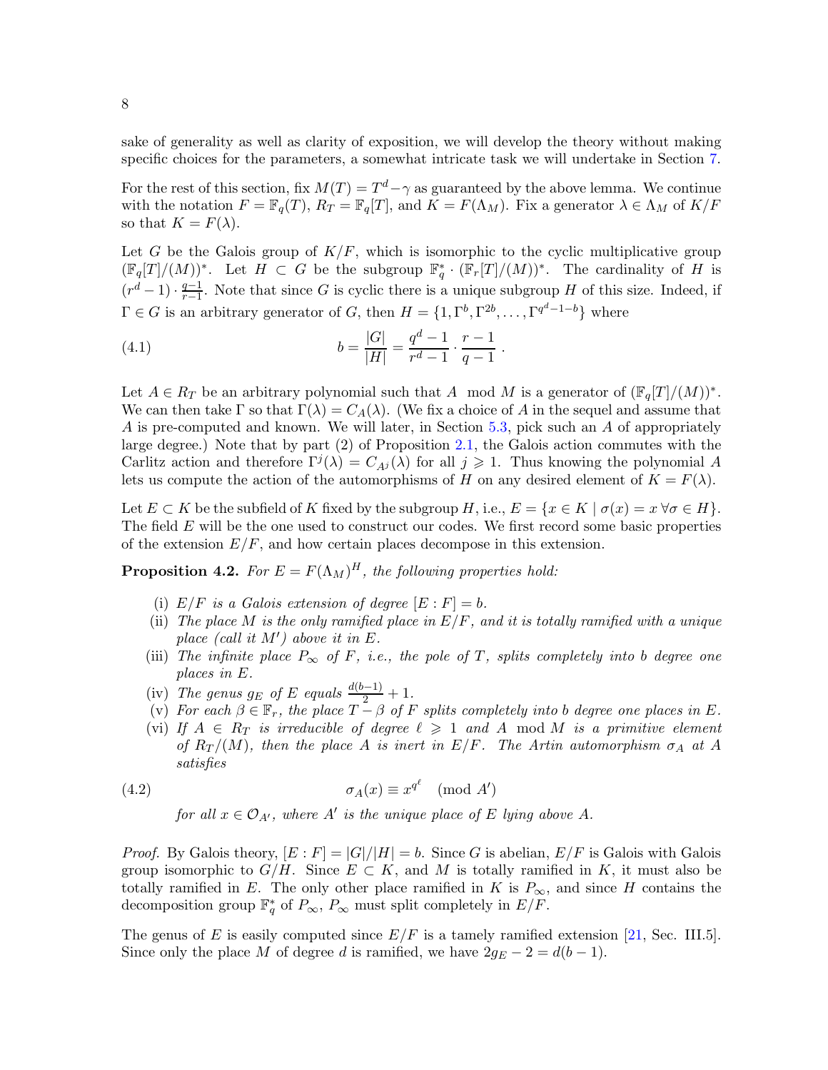sake of generality as well as clarity of exposition, we will develop the theory without making specific choices for the parameters, a somewhat intricate task we will undertake in Section [7.](#page-19-0)

For the rest of this section, fix  $M(T) = T^d - \gamma$  as guaranteed by the above lemma. We continue with the notation  $F = \mathbb{F}_q(T)$ ,  $R_T = \mathbb{F}_q[T]$ , and  $K = F(\Lambda_M)$ . Fix a generator  $\lambda \in \Lambda_M$  of  $K/F$ so that  $K = F(\lambda)$ .

Let G be the Galois group of  $K/F$ , which is isomorphic to the cyclic multiplicative group  $(\mathbb{F}_q[T]/(M))^*$ . Let  $H \subset G$  be the subgroup  $\mathbb{F}_q^* \cdot (\mathbb{F}_r[T]/(M))^*$ . The cardinality of H is  $(r^d - 1) \cdot \frac{q-1}{r-1}$  $\frac{q-1}{r-1}$ . Note that since G is cyclic there is a unique subgroup H of this size. Indeed, if  $\Gamma \in G$  is an arbitrary generator of G, then  $H = \{1, \Gamma^b, \Gamma^{2b}, \dots, \Gamma^{q^d-1-b}\}\$  where

<span id="page-7-2"></span>(4.1) 
$$
b = \frac{|G|}{|H|} = \frac{q^d - 1}{r^d - 1} \cdot \frac{r - 1}{q - 1}.
$$

Let  $A \in R_T$  be an arbitrary polynomial such that A mod M is a generator of  $(\mathbb{F}_q[T]/(M))^*$ . We can then take  $\Gamma$  so that  $\Gamma(\lambda) = C_A(\lambda)$ . (We fix a choice of A in the sequel and assume that A is pre-computed and known. We will later, in Section [5.3,](#page-12-0) pick such an A of appropriately large degree.) Note that by part (2) of Proposition [2.1,](#page-4-1) the Galois action commutes with the Carlitz action and therefore  $\Gamma^{j}(\lambda) = C_{Ai}(\lambda)$  for all  $j \geq 1$ . Thus knowing the polynomial A lets us compute the action of the automorphisms of H on any desired element of  $K = F(\lambda)$ .

Let  $E \subset K$  be the subfield of K fixed by the subgroup H, i.e.,  $E = \{x \in K \mid \sigma(x) = x \,\forall \sigma \in H\}.$ The field  $E$  will be the one used to construct our codes. We first record some basic properties of the extension  $E/F$ , and how certain places decompose in this extension.

<span id="page-7-1"></span>**Proposition 4.2.** For  $E = F(\Lambda_M)^H$ , the following properties hold:

- (i)  $E/F$  is a Galois extension of degree  $[E : F] = b$ .
- (ii) The place M is the only ramified place in  $E/F$ , and it is totally ramified with a unique place (call it  $M'$ ) above it in E.
- (iii) The infinite place  $P_{\infty}$  of F, i.e., the pole of T, splits completely into b degree one places in E.
- (iv) The genus  $g_E$  of E equals  $\frac{d(b-1)}{2} + 1$ .
- (v) For each  $\beta \in \mathbb{F}_r$ , the place  $T \beta$  of F splits completely into b degree one places in E.
- (vi) If  $A \in R_T$  is irreducible of degree  $\ell \geqslant 1$  and A mod M is a primitive element of  $R_T/(M)$ , then the place A is inert in  $E/F$ . The Artin automorphism  $\sigma_A$  at A satisfies

(4.2) 
$$
\sigma_A(x) \equiv x^{q^{\ell}} \pmod{A'}
$$

<span id="page-7-0"></span>for all  $x \in \mathcal{O}_{A'}$ , where  $A'$  is the unique place of E lying above A.

*Proof.* By Galois theory,  $[E : F] = |G|/|H| = b$ . Since G is abelian,  $E/F$  is Galois with Galois group isomorphic to  $G/H$ . Since  $E \subset K$ , and M is totally ramified in K, it must also be totally ramified in E. The only other place ramified in K is  $P_{\infty}$ , and since H contains the decomposition group  $\mathbb{F}_q^*$  of  $P_{\infty}$ ,  $P_{\infty}$  must split completely in  $E/F$ .

The genus of E is easily computed since  $E/F$  is a tamely ramified extension [\[21,](#page-23-3) Sec. III.5]. Since only the place M of degree d is ramified, we have  $2g_E - 2 = d(b - 1)$ .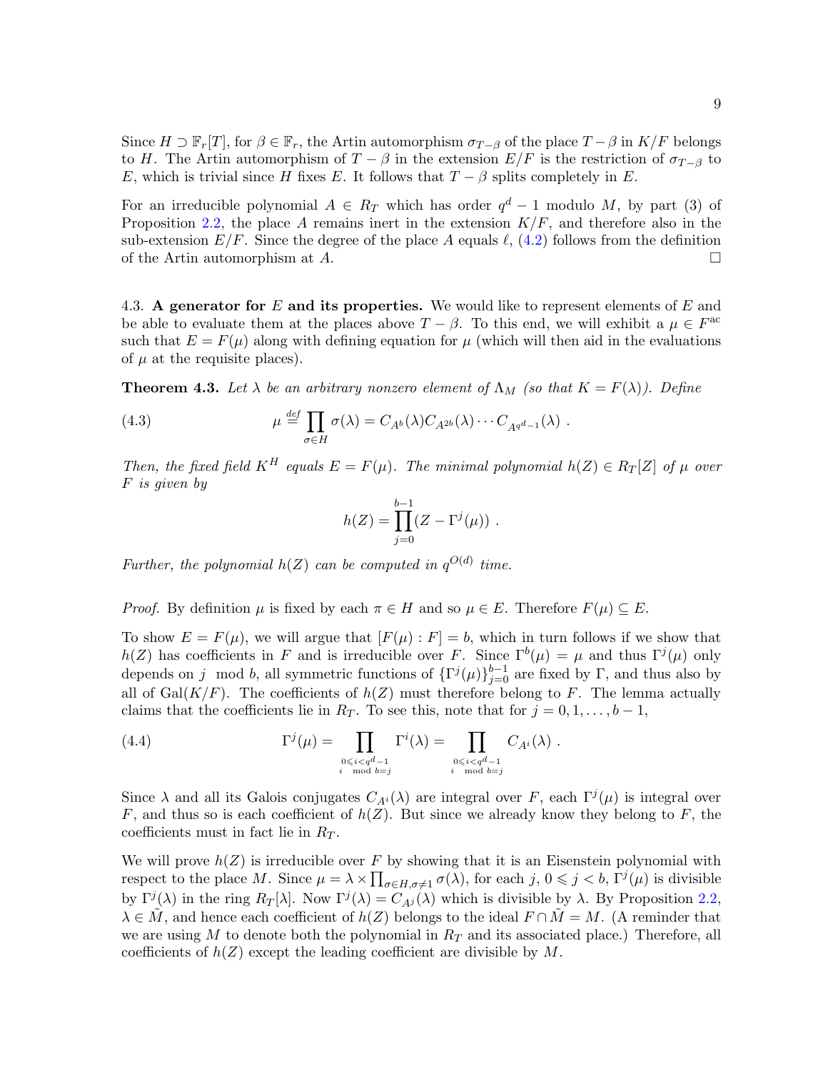Since  $H \supset \mathbb{F}_r[T]$ , for  $\beta \in \mathbb{F}_r$ , the Artin automorphism  $\sigma_{T-\beta}$  of the place  $T-\beta$  in  $K/F$  belongs to H. The Artin automorphism of  $T - \beta$  in the extension  $E/F$  is the restriction of  $\sigma_{T-\beta}$  to E, which is trivial since H fixes E. It follows that  $T - \beta$  splits completely in E.

For an irreducible polynomial  $A \in R_T$  which has order  $q^d - 1$  modulo M, by part (3) of Proposition [2.2,](#page-5-1) the place A remains inert in the extension  $K/F$ , and therefore also in the sub-extension  $E/F$ . Since the degree of the place A equals  $\ell$ , [\(4.2\)](#page-7-0) follows from the definition of the Artin automorphism at  $A$ .

4.3. A generator for E and its properties. We would like to represent elements of E and be able to evaluate them at the places above  $T - \beta$ . To this end, we will exhibit a  $\mu \in F^{ac}$ such that  $E = F(\mu)$  along with defining equation for  $\mu$  (which will then aid in the evaluations of  $\mu$  at the requisite places).

<span id="page-8-1"></span>**Theorem 4.3.** Let  $\lambda$  be an arbitrary nonzero element of  $\Lambda_M$  (so that  $K = F(\lambda)$ ). Define

<span id="page-8-2"></span>(4.3) 
$$
\mu \stackrel{\text{def}}{=} \prod_{\sigma \in H} \sigma(\lambda) = C_{A^b}(\lambda) C_{A^{2b}}(\lambda) \cdots C_{A^{q^d-1}}(\lambda) .
$$

Then, the fixed field  $K^H$  equals  $E = F(\mu)$ . The minimal polynomial  $h(Z) \in R_T[Z]$  of  $\mu$  over F is given by

$$
h(Z) = \prod_{j=0}^{b-1} (Z - \Gamma^{j}(\mu)) \ .
$$

Further, the polynomial  $h(Z)$  can be computed in  $q^{O(d)}$  time.

*Proof.* By definition  $\mu$  is fixed by each  $\pi \in H$  and so  $\mu \in E$ . Therefore  $F(\mu) \subseteq E$ .

To show  $E = F(\mu)$ , we will argue that  $[F(\mu) : F] = b$ , which in turn follows if we show that  $h(Z)$  has coefficients in F and is irreducible over F. Since  $\Gamma^b(\mu) = \mu$  and thus  $\Gamma^j(\mu)$  only depends on j mod b, all symmetric functions of  $\{\Gamma^j(\mu)\}_{j=0}^{b-1}$  are fixed by  $\Gamma$ , and thus also by all of Gal( $K/F$ ). The coefficients of  $h(Z)$  must therefore belong to F. The lemma actually claims that the coefficients lie in  $R_T$ . To see this, note that for  $j = 0, 1, \ldots, b-1$ ,

<span id="page-8-0"></span>(4.4) 
$$
\Gamma^{j}(\mu) = \prod_{\substack{0 \le i < q^d-1 \\ i \mod b = j}} \Gamma^{i}(\lambda) = \prod_{\substack{0 \le i < q^d-1 \\ i \mod b = j}} C_{A^{i}}(\lambda) .
$$

Since  $\lambda$  and all its Galois conjugates  $C_{A_i}(\lambda)$  are integral over F, each  $\Gamma^j(\mu)$  is integral over F, and thus so is each coefficient of  $h(Z)$ . But since we already know they belong to F, the coefficients must in fact lie in  $R_T$ .

We will prove  $h(Z)$  is irreducible over F by showing that it is an Eisenstein polynomial with respect to the place M. Since  $\mu = \lambda \times \prod_{\sigma \in H, \sigma \neq 1} \sigma(\lambda)$ , for each  $j, 0 \leq j < b$ ,  $\Gamma^{j}(\mu)$  is divisible by  $\Gamma^{j}(\lambda)$  in the ring  $R_T[\lambda]$ . Now  $\Gamma^{j}(\lambda) = C_{A^{j}}(\lambda)$  which is divisible by  $\lambda$ . By Proposition [2.2,](#page-5-1)  $\lambda \in M$ , and hence each coefficient of  $h(Z)$  belongs to the ideal  $F \cap M = M$ . (A reminder that we are using  $M$  to denote both the polynomial in  $R_T$  and its associated place.) Therefore, all coefficients of  $h(Z)$  except the leading coefficient are divisible by M.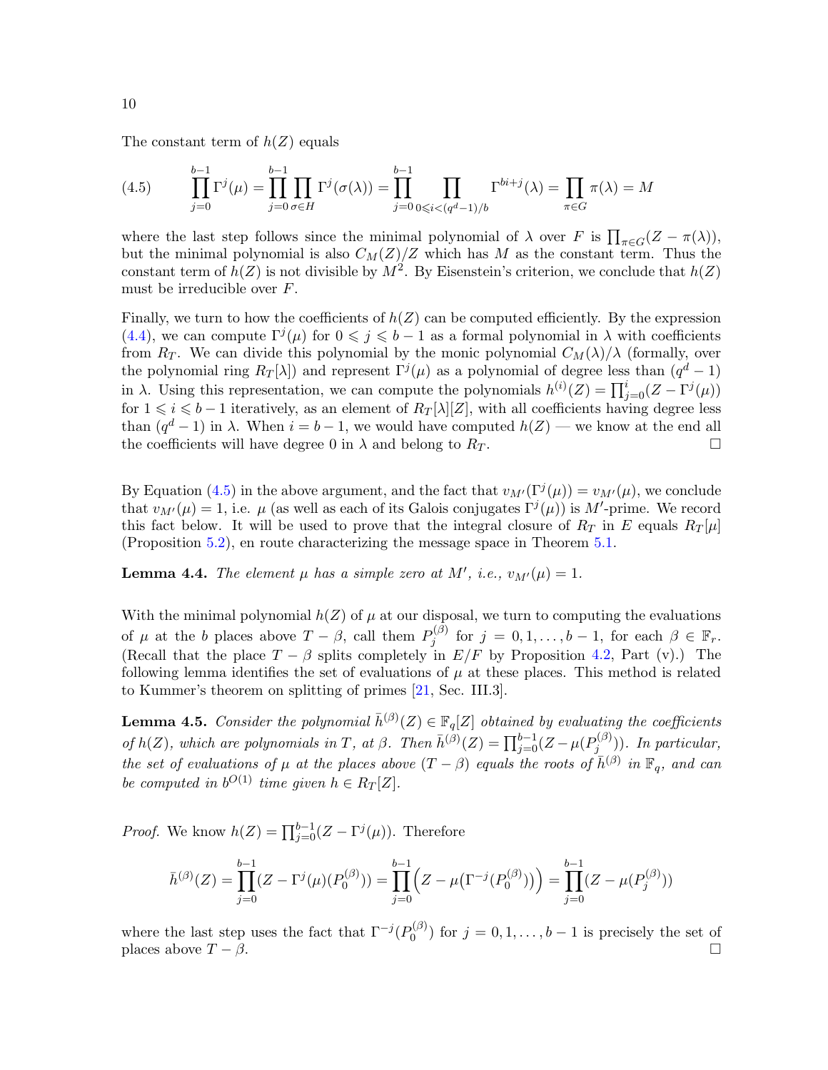The constant term of  $h(Z)$  equals

<span id="page-9-0"></span>(4.5) 
$$
\prod_{j=0}^{b-1} \Gamma^{j}(\mu) = \prod_{j=0}^{b-1} \prod_{\sigma \in H} \Gamma^{j}(\sigma(\lambda)) = \prod_{j=0}^{b-1} \prod_{0 \le i < (q^d-1)/b} \Gamma^{bi+j}(\lambda) = \prod_{\pi \in G} \pi(\lambda) = M
$$

where the last step follows since the minimal polynomial of  $\lambda$  over F is  $\prod_{\pi \in G} (Z - \pi(\lambda))$ , but the minimal polynomial is also  $C_M(Z)/Z$  which has M as the constant term. Thus the constant term of  $h(Z)$  is not divisible by  $M^2$ . By Eisenstein's criterion, we conclude that  $h(Z)$ must be irreducible over F.

Finally, we turn to how the coefficients of  $h(Z)$  can be computed efficiently. By the expression [\(4.4\)](#page-8-0), we can compute  $\Gamma^{j}(\mu)$  for  $0 \leq j \leq b-1$  as a formal polynomial in  $\lambda$  with coefficients from  $R_T$ . We can divide this polynomial by the monic polynomial  $C_M(\lambda)/\lambda$  (formally, over the polynomial ring  $R_T[\lambda]$  and represent  $\Gamma^j(\mu)$  as a polynomial of degree less than  $(q^d-1)$ in  $\lambda$ . Using this representation, we can compute the polynomials  $h^{(i)}(Z) = \prod_{j=0}^{i} (Z - \Gamma^{j}(\mu))$ for  $1 \leq i \leq b-1$  iteratively, as an element of  $R_T[\lambda][Z]$ , with all coefficients having degree less than  $(q^d-1)$  in  $\lambda$ . When  $i = b-1$ , we would have computed  $h(Z)$  — we know at the end all the coefficients will have degree 0 in  $\lambda$  and belong to  $R_T$ .

By Equation [\(4.5\)](#page-9-0) in the above argument, and the fact that  $v_{M'}(\Gamma^j(\mu)) = v_{M'}(\mu)$ , we conclude that  $v_{M'}(\mu) = 1$ , i.e.  $\mu$  (as well as each of its Galois conjugates  $\Gamma^{j}(\mu)$ ) is M'-prime. We record this fact below. It will be used to prove that the integral closure of  $R_T$  in E equals  $R_T[\mu]$ (Proposition [5.2\)](#page-10-1), en route characterizing the message space in Theorem [5.1.](#page-10-2)

<span id="page-9-1"></span>**Lemma 4.4.** The element  $\mu$  has a simple zero at M', i.e.,  $v_{M'}(\mu) = 1$ .

With the minimal polynomial  $h(Z)$  of  $\mu$  at our disposal, we turn to computing the evaluations of  $\mu$  at the b places above  $T - \beta$ , call them  $P_j^{(\beta)}$  $j^{(\beta)}$  for  $j = 0, 1, \ldots, b - 1$ , for each  $\beta \in \mathbb{F}_r$ . (Recall that the place  $T - \beta$  splits completely in  $E/F$  by Proposition [4.2,](#page-7-1) Part (v).) The following lemma identifies the set of evaluations of  $\mu$  at these places. This method is related to Kummer's theorem on splitting of primes [\[21,](#page-23-3) Sec. III.3].

<span id="page-9-2"></span>**Lemma 4.5.** Consider the polynomial  $\bar{h}^{(\beta)}(Z) \in \mathbb{F}_q[Z]$  obtained by evaluating the coefficients of  $h(Z)$ , which are polynomials in T, at  $\beta$ . Then  $\bar{h}^{(\beta)}(Z) = \prod_{j=0}^{b-1} (Z - \mu(P_j^{(\beta)}))$  $j_j^{(\nu)}$ ). In particular, the set of evaluations of  $\mu$  at the places above  $(T - \beta)$  equals the roots of  $\bar{h}^{(\beta)}$  in  $\mathbb{F}_q$ , and can be computed in  $b^{O(1)}$  time given  $h \in R_T[\mathbb{Z}]$ .

*Proof.* We know  $h(Z) = \prod_{j=0}^{b-1} (Z - \Gamma^j(\mu))$ . Therefore

$$
\bar{h}^{(\beta)}(Z) = \prod_{j=0}^{b-1} (Z - \Gamma^j(\mu)(P_0^{(\beta)})) = \prod_{j=0}^{b-1} (Z - \mu(\Gamma^{-j}(P_0^{(\beta)}))) = \prod_{j=0}^{b-1} (Z - \mu(P_j^{(\beta)}))
$$

where the last step uses the fact that  $\Gamma^{-j}(P_0^{(\beta)})$  $\binom{0^{(1)}}{0}$  for  $j = 0, 1, \ldots, b-1$  is precisely the set of places above  $T - \beta$ .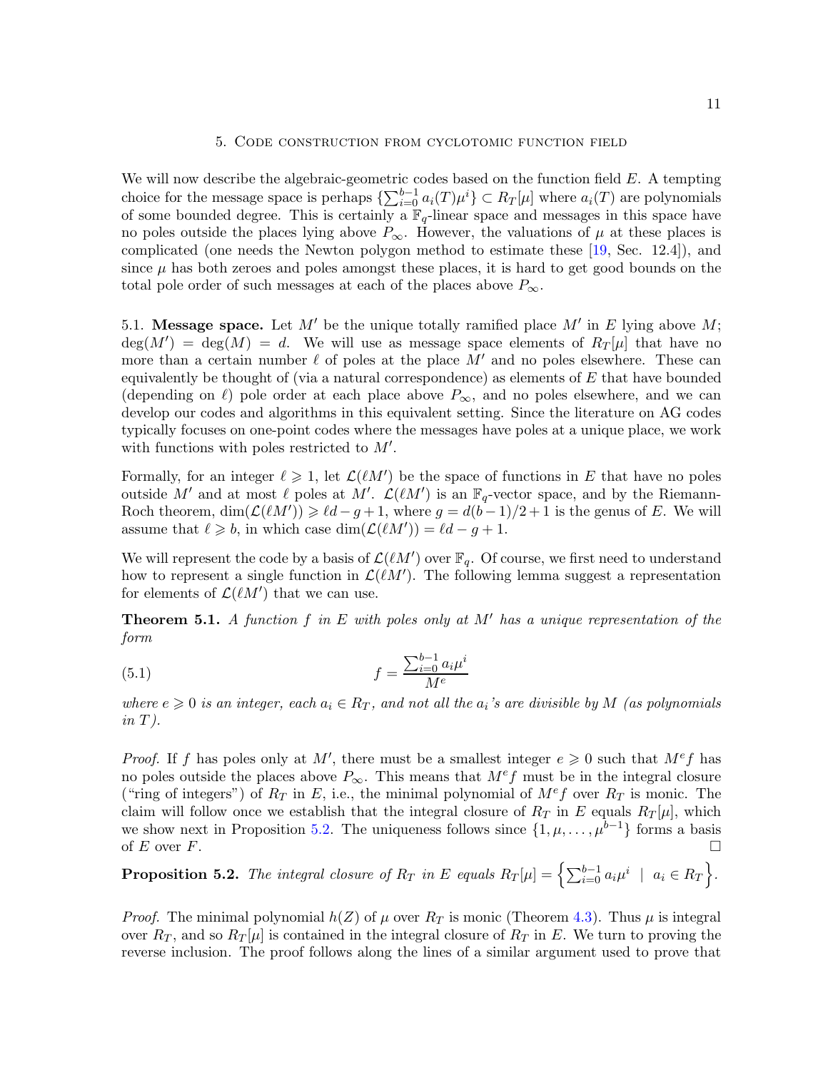# 5. Code construction from cyclotomic function field

<span id="page-10-0"></span>We will now describe the algebraic-geometric codes based on the function field  $E$ . A tempting choice for the message space is perhaps  $\{\sum_{i=0}^{b-1} a_i(T)\mu^i\} \subset R_T[\mu]$  where  $a_i(T)$  are polynomials of some bounded degree. This is certainly a  $\mathbb{F}_q$ -linear space and messages in this space have no poles outside the places lying above  $P_{\infty}$ . However, the valuations of  $\mu$  at these places is complicated (one needs the Newton polygon method to estimate these [\[19,](#page-22-18) Sec. 12.4]), and since  $\mu$  has both zeroes and poles amongst these places, it is hard to get good bounds on the total pole order of such messages at each of the places above  $P_{\infty}$ .

5.1. Message space. Let M' be the unique totally ramified place M' in E lying above M;  $deg(M') = deg(M) = d$ . We will use as message space elements of  $R_T[\mu]$  that have no more than a certain number  $\ell$  of poles at the place M' and no poles elsewhere. These can equivalently be thought of (via a natural correspondence) as elements of  $E$  that have bounded (depending on  $\ell$ ) pole order at each place above  $P_{\infty}$ , and no poles elsewhere, and we can develop our codes and algorithms in this equivalent setting. Since the literature on AG codes typically focuses on one-point codes where the messages have poles at a unique place, we work with functions with poles restricted to  $M'$ .

Formally, for an integer  $\ell \geq 1$ , let  $\mathcal{L}(\ell M')$  be the space of functions in E that have no poles outside M' and at most  $\ell$  poles at M'.  $\mathcal{L}(\ell M')$  is an  $\mathbb{F}_q$ -vector space, and by the Riemann-Roch theorem,  $\dim(\mathcal{L}(\ell M')) \geq \ell d - g + 1$ , where  $g = d(b-1)/2 + 1$  is the genus of E. We will assume that  $\ell \geqslant b$ , in which case  $\dim(\mathcal{L}(\ell M')) = \ell d - g + 1$ .

We will represent the code by a basis of  $\mathcal{L}(\ell M')$  over  $\mathbb{F}_q$ . Of course, we first need to understand how to represent a single function in  $\mathcal{L}(\ell M')$ . The following lemma suggest a representation for elements of  $\mathcal{L}(\ell M')$  that we can use.

<span id="page-10-2"></span>**Theorem 5.1.** A function f in E with poles only at  $M'$  has a unique representation of the form

<span id="page-10-3"></span>(5.1) 
$$
f = \frac{\sum_{i=0}^{b-1} a_i \mu^i}{M^e}
$$

where  $e \geqslant 0$  is an integer, each  $a_i \in R_T$ , and not all the  $a_i$ 's are divisible by M (as polynomials  $in T$ ).

*Proof.* If f has poles only at M', there must be a smallest integer  $e \geq 0$  such that  $M^e f$  has no poles outside the places above  $P_{\infty}$ . This means that  $M^e f$  must be in the integral closure ("ring of integers") of  $R_T$  in E, i.e., the minimal polynomial of  $M^e f$  over  $R_T$  is monic. The claim will follow once we establish that the integral closure of  $R_T$  in E equals  $R_T[\mu]$ , which we show next in Proposition [5.2.](#page-10-1) The uniqueness follows since  $\{1,\mu,\ldots,\mu^{b-1}\}\$  forms a basis of  $E$  over  $F$ .

<span id="page-10-1"></span>**Proposition 5.2.** The integral closure of  $R_T$  in E equals  $R_T[\mu] = \left\{ \sum_{i=0}^{b-1} a_i \mu^i \mid a_i \in R_T \right\}$ .

*Proof.* The minimal polynomial  $h(Z)$  of  $\mu$  over  $R_T$  is monic (Theorem [4.3\)](#page-8-1). Thus  $\mu$  is integral over  $R_T$ , and so  $R_T[\mu]$  is contained in the integral closure of  $R_T$  in E. We turn to proving the reverse inclusion. The proof follows along the lines of a similar argument used to prove that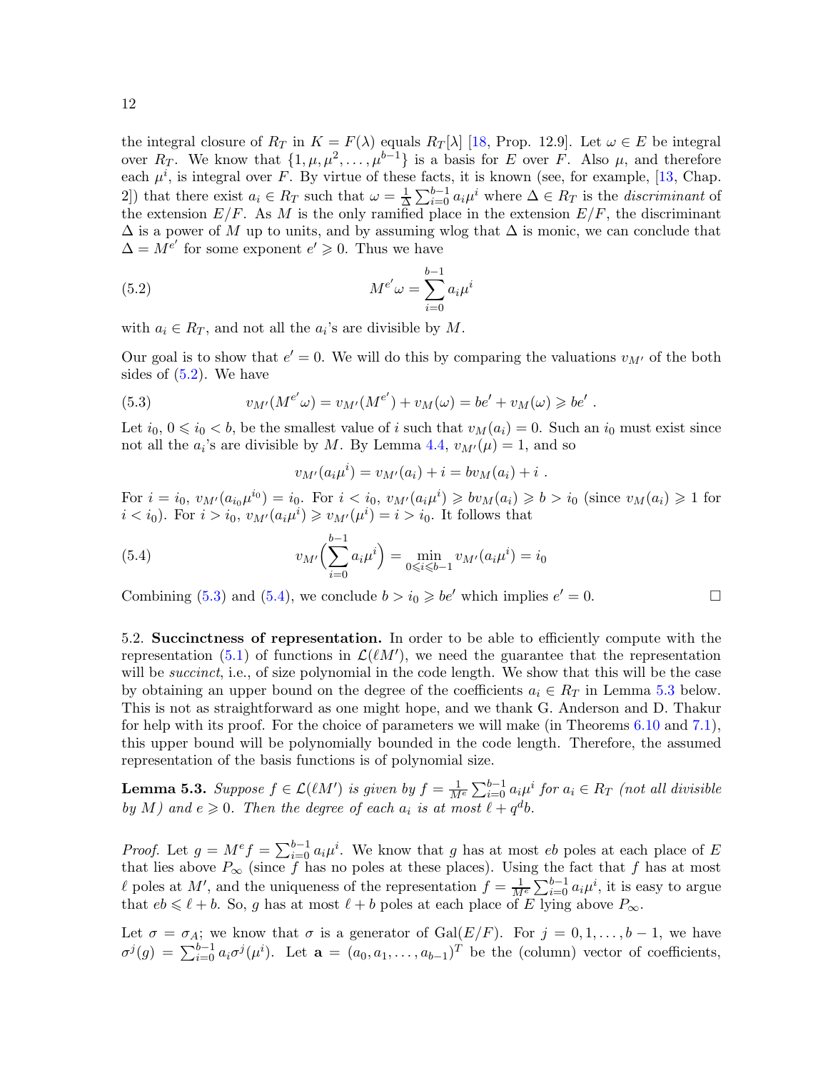the integral closure of  $R_T$  in  $K = F(\lambda)$  equals  $R_T[\lambda]$  [\[18,](#page-22-11) Prop. 12.9]. Let  $\omega \in E$  be integral over  $R_T$ . We know that  $\{1,\mu,\mu^2,\ldots,\mu^{b-1}\}$  is a basis for E over F. Also  $\mu$ , and therefore each  $\mu^{i}$ , is integral over F. By virtue of these facts, it is known (see, for example, [\[13,](#page-22-9) Chap. 2) that there exist  $a_i \in R_T$  such that  $\omega = \frac{1}{2}$  $\frac{1}{\Delta} \sum_{i=0}^{b-1} a_i \mu^i$  where  $\Delta \in R_T$  is the *discriminant* of the extension  $E/F$ . As M is the only ramified place in the extension  $E/F$ , the discriminant  $\Delta$  is a power of M up to units, and by assuming wlog that  $\Delta$  is monic, we can conclude that  $\Delta = M^{e'}$  for some exponent  $e' \geq 0$ . Thus we have

<span id="page-11-0"></span>(5.2) 
$$
M^{e'} \omega = \sum_{i=0}^{b-1} a_i \mu^i
$$

with  $a_i \in R_T$ , and not all the  $a_i$ 's are divisible by M.

Our goal is to show that  $e' = 0$ . We will do this by comparing the valuations  $v_{M'}$  of the both sides of [\(5.2\)](#page-11-0). We have

<span id="page-11-1"></span>(5.3) 
$$
v_{M'}(M^{e'}\omega) = v_{M'}(M^{e'}) + v_M(\omega) = be' + v_M(\omega) \geqslant be'.
$$

Let  $i_0, 0 \leq i_0 < b$ , be the smallest value of i such that  $v_M(a_i) = 0$ . Such an  $i_0$  must exist since not all the  $a_i$ 's are divisible by M. By Lemma [4.4,](#page-9-1)  $v_{M'}(\mu) = 1$ , and so

$$
v_{M'}(a_i\mu^i) = v_{M'}(a_i) + i = bv_M(a_i) + i.
$$

For  $i = i_0, v_{M'}(a_{i_0}\mu^{i_0}) = i_0$ . For  $i < i_0, v_{M'}(a_i\mu^{i}) \geq v_{M}(a_i) \geq v_{M'}(a_i) \geq v_{M}(a_i) \geq 1$  for  $i < i_0$ ). For  $i > i_0$ ,  $v_{M'}(a_i \mu^i) \geq v_{M'}(\mu^i) = i > i_0$ . It follows that

<span id="page-11-2"></span>(5.4) 
$$
v_{M'}\left(\sum_{i=0}^{b-1} a_i \mu^i\right) = \min_{0 \le i \le b-1} v_{M'}(a_i \mu^i) = i_0
$$

Combining [\(5.3\)](#page-11-1) and [\(5.4\)](#page-11-2), we conclude  $b > i_0 \geqslant be'$  which implies  $e' = 0$ .

5.2. Succinctness of representation. In order to be able to efficiently compute with the representation [\(5.1\)](#page-10-3) of functions in  $\mathcal{L}(\ell M')$ , we need the guarantee that the representation will be *succinct*, i.e., of size polynomial in the code length. We show that this will be the case by obtaining an upper bound on the degree of the coefficients  $a_i \in R_T$  in Lemma [5.3](#page-11-3) below. This is not as straightforward as one might hope, and we thank G. Anderson and D. Thakur for help with its proof. For the choice of parameters we will make (in Theorems [6.10](#page-19-1) and [7.1\)](#page-20-0), this upper bound will be polynomially bounded in the code length. Therefore, the assumed representation of the basis functions is of polynomial size.

<span id="page-11-3"></span>**Lemma 5.3.** Suppose  $f \in \mathcal{L}(\ell M')$  is given by  $f = \frac{1}{M^e} \sum_{i=0}^{b-1} a_i \mu^i$  for  $a_i \in R_T$  (not all divisible by M) and  $e \geq 0$ . Then the degree of each  $a_i$  is at most  $\ell + q^d b$ .

*Proof.* Let  $g = M^e f = \sum_{i=0}^{b-1} a_i \mu^i$ . We know that g has at most eb poles at each place of E that lies above  $P_{\infty}$  (since f has no poles at these places). Using the fact that f has at most l poles at M', and the uniqueness of the representation  $f = \frac{1}{M^e} \sum_{i=0}^{b-1} a_i \mu^i$ , it is easy to argue that  $eb \leq \ell + b$ . So, g has at most  $\ell + b$  poles at each place of E lying above  $P_{\infty}$ .

Let  $\sigma = \sigma_A$ ; we know that  $\sigma$  is a generator of Gal $(E/F)$ . For  $j = 0, 1, \ldots, b-1$ , we have  $\sigma^{j}(g) = \sum_{i=0}^{b-1} a_i \sigma^{j}(\mu^i)$ . Let  $\mathbf{a} = (a_0, a_1, \ldots, a_{b-1})^T$  be the (column) vector of coefficients,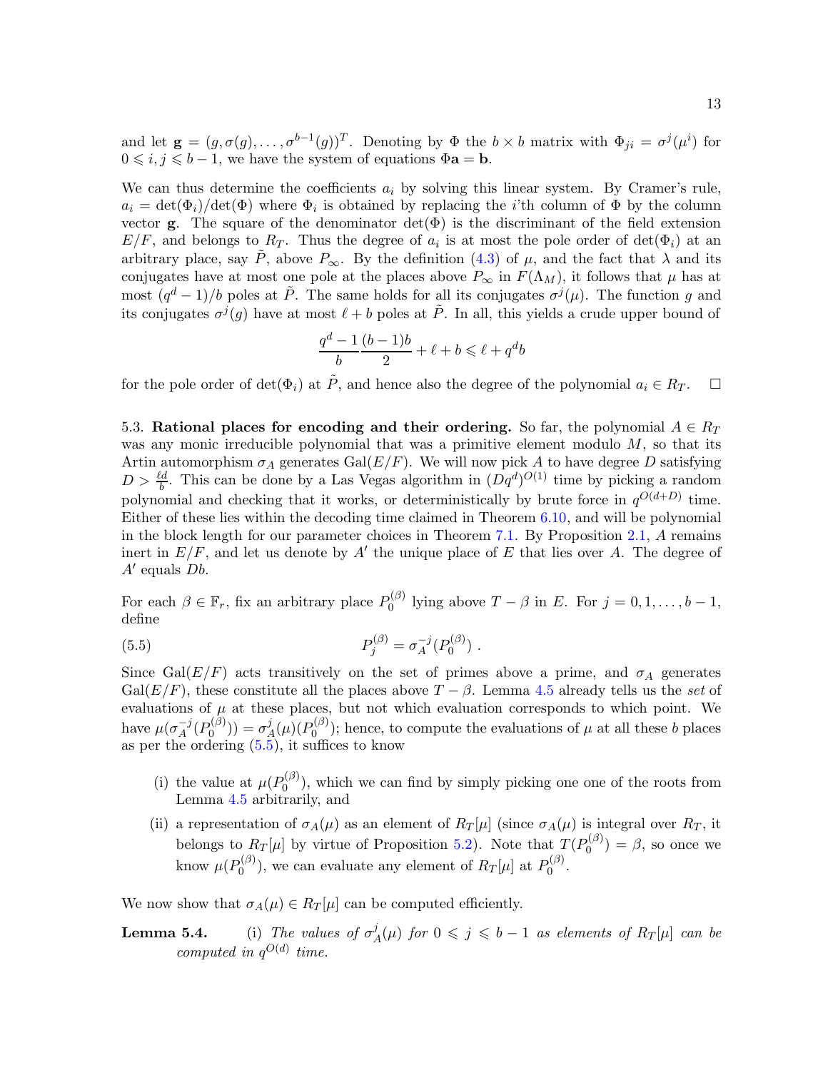and let  $\mathbf{g} = (g, \sigma(g), \dots, \sigma^{b-1}(g))^T$ . Denoting by  $\Phi$  the  $b \times b$  matrix with  $\Phi_{ji} = \sigma^j(\mu^i)$  for  $0 \leq i, j \leq b - 1$ , we have the system of equations  $\Phi$ **a** = **b**.

We can thus determine the coefficients  $a_i$  by solving this linear system. By Cramer's rule,  $a_i = det(\Phi_i)/det(\Phi)$  where  $\Phi_i$  is obtained by replacing the *i*'th column of  $\Phi$  by the column vector **g**. The square of the denominator  $det(\Phi)$  is the discriminant of the field extension  $E/F$ , and belongs to  $R_T$ . Thus the degree of  $a_i$  is at most the pole order of  $\det(\Phi_i)$  at an arbitrary place, say  $\tilde{P}$ , above  $P_{\infty}$ . By the definition [\(4.3\)](#page-8-2) of  $\mu$ , and the fact that  $\lambda$  and its conjugates have at most one pole at the places above  $P_{\infty}$  in  $F(\Lambda_M)$ , it follows that  $\mu$  has at most  $(q^d-1)/b$  poles at  $\tilde{P}$ . The same holds for all its conjugates  $\sigma^j(\mu)$ . The function g and its conjugates  $\sigma^{j}(g)$  have at most  $\ell + b$  poles at  $\tilde{P}$ . In all, this yields a crude upper bound of

$$
\frac{q^d-1}{b} \frac{(b-1)b}{2} + \ell + b \leqslant \ell + q^d b
$$

<span id="page-12-0"></span>for the pole order of det( $\Phi_i$ ) at  $\tilde{P}$ , and hence also the degree of the polynomial  $a_i \in R_T$ .  $\Box$ 

5.3. Rational places for encoding and their ordering. So far, the polynomial  $A \in R_T$ was any monic irreducible polynomial that was a primitive element modulo  $M$ , so that its Artin automorphism  $\sigma_A$  generates  $Gal(E/F)$ . We will now pick A to have degree D satisfying  $D > \frac{\ell d}{b}$ . This can be done by a Las Vegas algorithm in  $(Dq^d)^{O(1)}$  time by picking a random polynomial and checking that it works, or deterministically by brute force in  $q^{O(d+D)}$  time. Either of these lies within the decoding time claimed in Theorem [6.10,](#page-19-1) and will be polynomial in the block length for our parameter choices in Theorem [7.1.](#page-20-0) By Proposition [2.1,](#page-4-1) A remains inert in  $E/F$ , and let us denote by A' the unique place of E that lies over A. The degree of  $A'$  equals  $Db.$ 

For each  $\beta \in \mathbb{F}_r$ , fix an arbitrary place  $P_0^{(\beta)}$  $\int_0^{D}$  lying above  $T - \beta$  in E. For  $j = 0, 1, \ldots, b - 1$ , define

<span id="page-12-1"></span>(5.5) 
$$
P_j^{(\beta)} = \sigma_A^{-j}(P_0^{(\beta)}) .
$$

Since Gal( $E/F$ ) acts transitively on the set of primes above a prime, and  $\sigma_A$  generates  $Gal(E/F)$ , these constitute all the places above  $T - \beta$ . Lemma [4.5](#page-9-2) already tells us the set of evaluations of  $\mu$  at these places, but not which evaluation corresponds to which point. We have  $\mu(\sigma_A^{-j}(P_0^{(\beta)}))$  $\sigma^{(\beta)}_0)) = \sigma^{j}_A$  $\frac{j}{A}(\mu)(P_0^{(\beta)}$  $\binom{10}{0}$ ; hence, to compute the evaluations of  $\mu$  at all these b places as per the ordering [\(5.5\)](#page-12-1), it suffices to know

- (i) the value at  $\mu(P_0^{(\beta)})$  $0^{(p)}$ , which we can find by simply picking one one of the roots from Lemma [4.5](#page-9-2) arbitrarily, and
- (ii) a representation of  $\sigma_A(\mu)$  as an element of  $R_T[\mu]$  (since  $\sigma_A(\mu)$  is integral over  $R_T$ , it belongs to  $R_T[\mu]$  by virtue of Proposition [5.2\)](#page-10-1). Note that  $T(P_0^{(\beta)})$  $\theta_0^{(\nu)}$  =  $\beta$ , so once we know  $\mu(P_0^{(\beta)}$  $D_0^{(\beta)}$ ), we can evaluate any element of  $R_T[\mu]$  at  $P_0^{(\beta)}$  $\stackrel{\bullet}{0}^{\scriptscriptstyle{(\mu)}}$ .

<span id="page-12-2"></span>We now show that  $\sigma_A(\mu) \in R_T[\mu]$  can be computed efficiently.

**Lemma 5.4.** (i) The values of  $\sigma^j$  $A^j_A(\mu)$  for  $0 \leqslant j \leqslant b-1$  as elements of  $R_T[\mu]$  can be computed in  $q^{O(d)}$  time.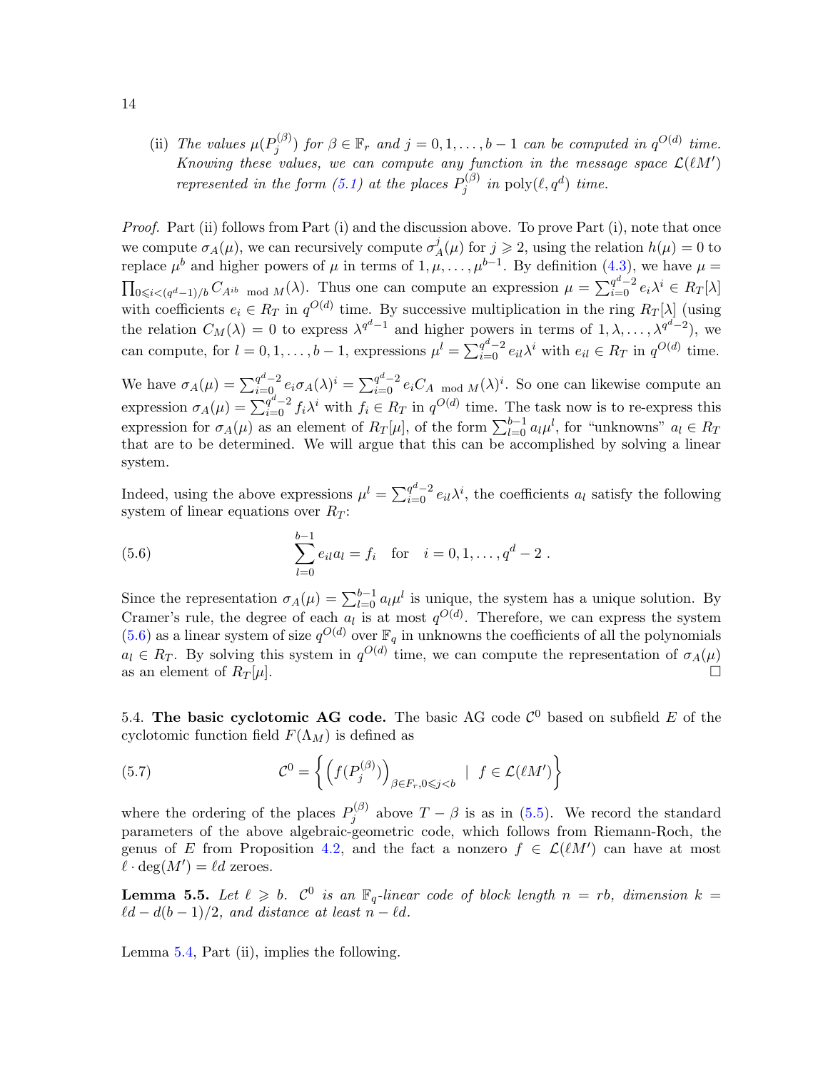(ii) The values  $\mu(P_i^{(\beta)})$  $j^{(\beta)}$  for  $\beta \in \mathbb{F}_r$  and  $j = 0, 1, \ldots, b-1$  can be computed in  $q^{O(d)}$  time. Knowing these values, we can compute any function in the message space  $\mathcal{L}(\ell M')$ represented in the form [\(5.1\)](#page-10-3) at the places  $P_i^{(\beta)}$  $j^{(\beta)}$  in poly $(\ell, q^d)$  time.

Proof. Part (ii) follows from Part (i) and the discussion above. To prove Part (i), note that once we compute  $\sigma_A(\mu)$ , we can recursively compute  $\sigma_A^j$  $A_{A}^{j}(\mu)$  for  $j \geq 2$ , using the relation  $h(\mu) = 0$  to replace  $\mu^b$  and higher powers of  $\mu$  in terms of  $1, \mu, \ldots, \mu^{b-1}$ . By definition [\(4.3\)](#page-8-2), we have  $\mu =$  $\prod_{0 \leqslant i < (q^d-1)/b} C_{A^{ib}}$  mod  $M(\lambda)$ . Thus one can compute an expression  $\mu = \sum_{i=0}^{q^d-2} e_i \lambda^i \in R_T[\lambda]$ with coefficients  $e_i \in R_T$  in  $q^{O(d)}$  time. By successive multiplication in the ring  $R_T[\lambda]$  (using the relation  $C_M(\lambda) = 0$  to express  $\lambda^{q^d-1}$  and higher powers in terms of  $1, \lambda, \ldots, \lambda^{q^d-2}$ , we can compute, for  $l = 0, 1, ..., b - 1$ , expressions  $\mu^l = \sum_{i=0}^{q^d-2} e_{il} \lambda^i$  with  $e_{il} \in R_T$  in  $q^{O(d)}$  time.

We have  $\sigma_A(\mu) = \sum_{i=0}^{q^d-2} e_i \sigma_A(\lambda)^i = \sum_{i=0}^{q^d-2} e_i C_A \mod M(\lambda)^i$ . So one can likewise compute an expression  $\sigma_A(\mu) = \sum_{i=0}^{q^d-2} f_i \lambda^i$  with  $f_i \in R_T$  in  $q^{O(d)}$  time. The task now is to re-express this expression for  $\sigma_A(\mu)$  as an element of  $R_T[\mu]$ , of the form  $\sum_{l=0}^{b-1} a_l \mu^l$ , for "unknowns"  $a_l \in R_T$ that are to be determined. We will argue that this can be accomplished by solving a linear system.

Indeed, using the above expressions  $\mu^l = \sum_{i=0}^{q^d-2} e_{il} \lambda^i$ , the coefficients  $a_l$  satisfy the following system of linear equations over  $R_T$ :

<span id="page-13-0"></span>(5.6) 
$$
\sum_{l=0}^{b-1} e_{il} a_l = f_i \text{ for } i = 0, 1, ..., q^d - 2.
$$

Since the representation  $\sigma_A(\mu) = \sum_{l=0}^{b-1} a_l \mu^l$  is unique, the system has a unique solution. By Cramer's rule, the degree of each  $a_l$  is at most  $q^{O(d)}$ . Therefore, we can express the system  $(5.6)$  as a linear system of size  $q^{O(d)}$  over  $\mathbb{F}_q$  in unknowns the coefficients of all the polynomials  $a_l \in R_T$ . By solving this system in  $q^{O(d)}$  time, we can compute the representation of  $\sigma_A(\mu)$ as an element of  $R_T[\mu]$ .

5.4. The basic cyclotomic AG code. The basic AG code  $\mathcal{C}^0$  based on subfield E of the cyclotomic function field  $F(\Lambda_M)$  is defined as

<span id="page-13-3"></span>(5.7) 
$$
\mathcal{C}^0 = \left\{ \left( f(P_j^{(\beta)}) \right)_{\beta \in F_r, 0 \leq j < b} \mid f \in \mathcal{L}(\ell M') \right\}
$$

where the ordering of the places  $P_i^{(\beta)}$  $j^{(p)}$  above  $T - \beta$  is as in [\(5.5\)](#page-12-1). We record the standard parameters of the above algebraic-geometric code, which follows from Riemann-Roch, the genus of E from Proposition [4.2,](#page-7-1) and the fact a nonzero  $f \in \mathcal{L}(lM')$  can have at most  $\ell \cdot \deg(M') = \ell d$  zeroes.

<span id="page-13-2"></span>**Lemma 5.5.** Let  $\ell \geq b$ .  $C^0$  is an  $\mathbb{F}_q$ -linear code of block length  $n = rb$ , dimension  $k =$  $\ell d - d(b - 1)/2$ , and distance at least  $n - \ell d$ .

<span id="page-13-1"></span>Lemma [5.4,](#page-12-2) Part (ii), implies the following.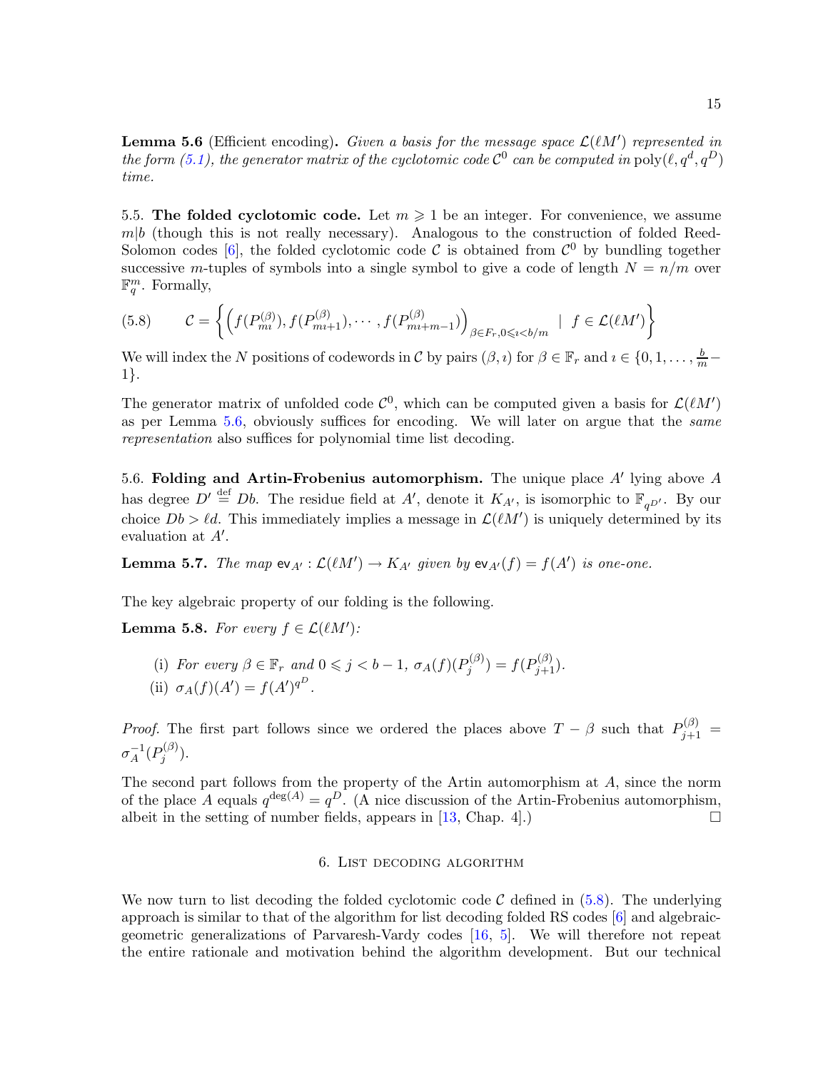**Lemma 5.6** (Efficient encoding). Given a basis for the message space  $\mathcal{L}(lM')$  represented in the form [\(5.1\)](#page-10-3), the generator matrix of the cyclotomic code  $C^0$  can be computed in  $\text{poly}(\ell,q^d,q^D)$ time.

5.5. The folded cyclotomic code. Let  $m \geq 1$  be an integer. For convenience, we assume  $m|b$  (though this is not really necessary). Analogous to the construction of folded Reed-Solomon codes [\[6\]](#page-22-3), the folded cyclotomic code  $\mathcal C$  is obtained from  $\mathcal C^0$  by bundling together successive m-tuples of symbols into a single symbol to give a code of length  $N = n/m$  over  $\mathbb{F}_q^m$ . Formally,

<span id="page-14-1"></span>
$$
(5.8) \qquad \mathcal{C} = \left\{ \left( f(P_{m}^{(\beta)}), f(P_{m+1}^{(\beta)}), \cdots, f(P_{m+m-1}^{(\beta)}) \right)_{\beta \in F_r, 0 \leqslant i < b/m} \; \mid \; f \in \mathcal{L}(\ell M') \right\}
$$

We will index the N positions of codewords in C by pairs  $(\beta, i)$  for  $\beta \in \mathbb{F}_r$  and  $i \in \{0, 1, \ldots, \frac{b}{m} - \alpha\}$ 1}.

The generator matrix of unfolded code  $\mathcal{C}^0$ , which can be computed given a basis for  $\mathcal{L}(\ell M')$ as per Lemma [5.6,](#page-13-1) obviously suffices for encoding. We will later on argue that the same representation also suffices for polynomial time list decoding.

5.6. Folding and Artin-Frobenius automorphism. The unique place  $A'$  lying above  $A$ has degree  $D' \stackrel{\text{def}}{=} Db$ . The residue field at A', denote it  $K_{A'}$ , is isomorphic to  $\mathbb{F}_{qD'}$ . By our choice  $Db > \ell d$ . This immediately implies a message in  $\mathcal{L}(\ell M')$  is uniquely determined by its evaluation at  $A'$ .

<span id="page-14-3"></span>**Lemma 5.7.** The map  $ev_{A'} : \mathcal{L}(\ell M') \to K_{A'}$  given by  $ev_{A'}(f) = f(A')$  is one-one.

<span id="page-14-2"></span>The key algebraic property of our folding is the following.

**Lemma 5.8.** For every  $f \in \mathcal{L}(lM')$ :

(i) For every  $\beta \in \mathbb{F}_r$  and  $0 \leqslant j < b-1$ ,  $\sigma_A(f)(P_j^{(\beta)})$  $p_j^{(\beta)}$ ) =  $f(P_{j+1}^{(\beta)}).$ (ii)  $\sigma_A(f)(A') = f(A')^{q^D}$ .

*Proof.* The first part follows since we ordered the places above  $T - \beta$  such that  $P_{j+1}^{(\beta)} =$  $\sigma_A^{-1}(P_j^{(\beta)}$  $j^{(\nu)}$ ).

<span id="page-14-0"></span>The second part follows from the property of the Artin automorphism at A, since the norm of the place A equals  $q^{\deg(A)} = q^D$ . (A nice discussion of the Artin-Frobenius automorphism, albeit in the setting of number fields, appears in  $[13,$  Chap. 4.)

# 6. List decoding algorithm

We now turn to list decoding the folded cyclotomic code  $\mathcal C$  defined in [\(5.8\)](#page-14-1). The underlying approach is similar to that of the algorithm for list decoding folded RS codes [\[6\]](#page-22-3) and algebraicgeometric generalizations of Parvaresh-Vardy codes [\[16,](#page-22-2) [5\]](#page-22-4). We will therefore not repeat the entire rationale and motivation behind the algorithm development. But our technical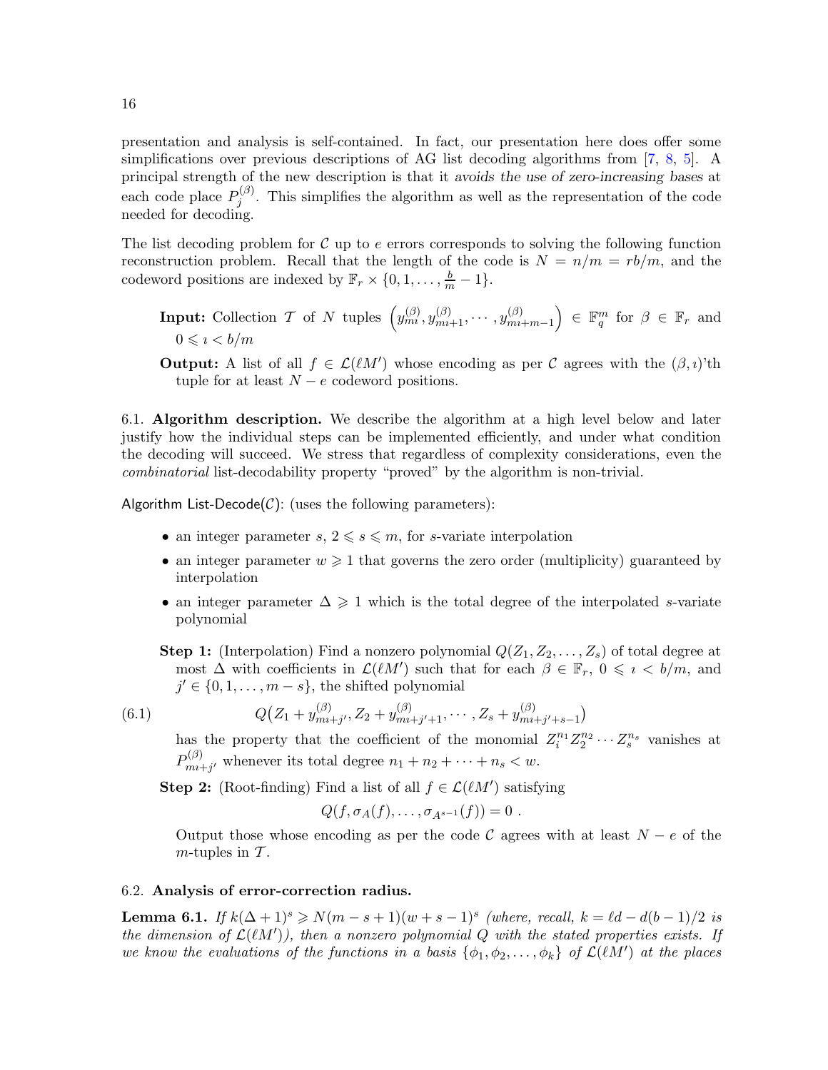presentation and analysis is self-contained. In fact, our presentation here does offer some simplifications over previous descriptions of AG list decoding algorithms from [\[7,](#page-22-20) [8,](#page-22-21) [5\]](#page-22-4). A principal strength of the new description is that it avoids the use of zero-increasing bases at each code place  $P_i^{(\beta)}$  $j^{(p)}$ . This simplifies the algorithm as well as the representation of the code needed for decoding.

The list decoding problem for  $\mathcal C$  up to  $e$  errors corresponds to solving the following function reconstruction problem. Recall that the length of the code is  $N = n/m = rb/m$ , and the codeword positions are indexed by  $\mathbb{F}_r \times \{0, 1, \ldots, \frac{b}{m} - 1\}.$ 

**Input:** Collection T of N tuples  $\left(y_{m}^{(\beta)}, y_{m+1}^{(\beta)}, \cdots, y_{m}^{(\beta)}\right)$  $m+n-1$  $\Big) \in \mathbb{F}_q^m$  for  $\beta \in \mathbb{F}_r$  and  $0 \leqslant i < b/m$ 

**Output:** A list of all  $f \in \mathcal{L}(\ell M')$  whose encoding as per C agrees with the  $(\beta, i)$ 'th tuple for at least  $N - e$  codeword positions.

6.1. Algorithm description. We describe the algorithm at a high level below and later justify how the individual steps can be implemented efficiently, and under what condition the decoding will succeed. We stress that regardless of complexity considerations, even the combinatorial list-decodability property "proved" by the algorithm is non-trivial.

Algorithm List-Decode $(C)$ : (uses the following parameters):

- an integer parameter  $s, 2 \leq s \leq m$ , for s-variate interpolation
- an integer parameter  $w \geq 1$  that governs the zero order (multiplicity) guaranteed by interpolation
- an integer parameter  $\Delta \geq 1$  which is the total degree of the interpolated s-variate polynomial

**Step 1:** (Interpolation) Find a nonzero polynomial  $Q(Z_1, Z_2, \ldots, Z_s)$  of total degree at most  $\Delta$  with coefficients in  $\mathcal{L}(\ell M')$  such that for each  $\beta \in \mathbb{F}_r$ ,  $0 \leqslant i \leqslant b/m$ , and  $j' \in \{0, 1, \ldots, m - s\}$ , the shifted polynomial

$$
(6.1)
$$

(6.1) 
$$
Q(Z_1 + y_{m+j}^{(\beta)}, Z_2 + y_{m+j'+1}^{(\beta)}, \cdots, Z_s + y_{m+j'+s-1}^{(\beta)})
$$

<span id="page-15-0"></span>has the property that the coefficient of the monomial  $Z_i^{n_1} Z_2^{n_2} \cdots Z_s^{n_s}$  vanishes at  $P_{mn}^{(\beta)}$  $\lim_{m+j'}$  whenever its total degree  $n_1 + n_2 + \cdots + n_s < w$ .

**Step 2:** (Root-finding) Find a list of all  $f \in \mathcal{L}(\ell M')$  satisfying

$$
Q(f,\sigma_A(f),\ldots,\sigma_{A^{s-1}}(f))=0.
$$

Output those whose encoding as per the code C agrees with at least  $N - e$  of the  $m$ -tuples in  $\mathcal T$ .

# <span id="page-15-1"></span>6.2. Analysis of error-correction radius.

**Lemma 6.1.** If  $k(\Delta+1)^s \ge N(m-s+1)(w+s-1)^s$  (where, recall,  $k = \ell d - d(b-1)/2$  is the dimension of  $\mathcal{L}(lM')$ ), then a nonzero polynomial Q with the stated properties exists. If we know the evaluations of the functions in a basis  $\{\phi_1, \phi_2, \ldots, \phi_k\}$  of  $\mathcal{L}(lM')$  at the places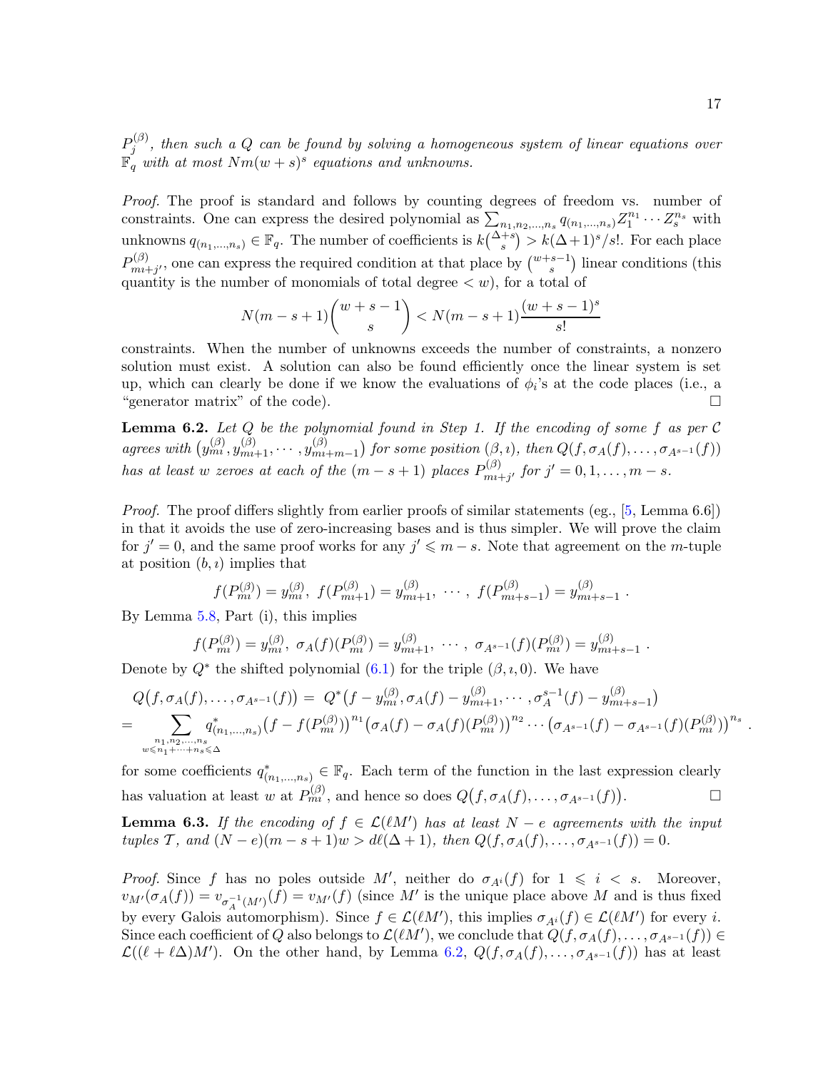$P^{(\beta)}_i$  $j^{(p)}$ , then such a Q can be found by solving a homogeneous system of linear equations over  $\mathbb{F}_q$  with at most  $Nm(w+s)^s$  equations and unknowns.

Proof. The proof is standard and follows by counting degrees of freedom vs. number of constraints. One can express the desired polynomial as  $\sum_{n_1,n_2,...,n_s} q_{(n_1,...,n_s)} Z_1^{n_1} \cdots Z_s^{n_s}$  with unknowns  $q_{(n_1,...,n_s)} \in \mathbb{F}_q$ . The number of coefficients is  $k{\Delta+s \choose s} > k(\Delta+1)^s/s!$ . For each place  $P_{mn}^{(\beta)}$  $\binom{(\beta)}{m}$ , one can express the required condition at that place by  $\binom{w+s-1}{s}$  linear conditions (this quantity is the number of monomials of total degree  $\langle w \rangle$ , for a total of

$$
N(m-s+1)\binom{w+s-1}{s} < N(m-s+1)\frac{(w+s-1)^s}{s!}
$$

constraints. When the number of unknowns exceeds the number of constraints, a nonzero solution must exist. A solution can also be found efficiently once the linear system is set up, which can clearly be done if we know the evaluations of  $\phi_i$ 's at the code places (i.e., a "generator matrix" of the code).

<span id="page-16-0"></span>**Lemma 6.2.** Let  $Q$  be the polynomial found in Step 1. If the encoding of some f as per C agrees with  $(y_m^{(\beta)}, y_{m_1+1}^{(\beta)}, \cdots, y_{m_l}^{(\beta)})$  $\binom{(\beta)}{m_1+m_1}$  for some position  $(\beta, \iota)$ , then  $Q(f, \sigma_A(f), \ldots, \sigma_{A^{s-1}}(f))$ has at least w zeroes at each of the  $(m - s + 1)$  places  $P_{mn}^{(\beta)}$  $\int_{m+i}^{(p)}$  for  $j' = 0, 1, ..., m - s$ .

Proof. The proof differs slightly from earlier proofs of similar statements (eg., [\[5,](#page-22-4) Lemma 6.6]) in that it avoids the use of zero-increasing bases and is thus simpler. We will prove the claim for  $j' = 0$ , and the same proof works for any  $j' \leq m - s$ . Note that agreement on the m-tuple at position  $(b, i)$  implies that

$$
f(P_{mi}^{(\beta)}) = y_{mi}^{(\beta)}, \ f(P_{mi+1}^{(\beta)}) = y_{mi+1}^{(\beta)}, \ \cdots, \ f(P_{mi+s-1}^{(\beta)}) = y_{mi+s-1}^{(\beta)}.
$$

By Lemma [5.8,](#page-14-2) Part (i), this implies

$$
f(P_{mi}^{(\beta)}) = y_{mi}^{(\beta)}, \ \sigma_A(f)(P_{mi}^{(\beta)}) = y_{mi+1}^{(\beta)}, \ \cdots, \ \sigma_{A^{s-1}}(f)(P_{mi}^{(\beta)}) = y_{mi+s-1}^{(\beta)}.
$$

Denote by  $Q^*$  the shifted polynomial  $(6.1)$  for the triple  $(\beta, i, 0)$ . We have

$$
Q(f, \sigma_A(f), \ldots, \sigma_{A^{s-1}}(f)) = Q^*(f - y_{mi}^{(\beta)}, \sigma_A(f) - y_{mi+1}^{(\beta)}, \ldots, \sigma_A^{s-1}(f) - y_{mi+s-1}^{(\beta)})
$$
  
= 
$$
\sum_{\substack{n_1, n_2, \ldots, n_s \\ w \leq n_1 + \cdots + n_s \leq \Delta}} q^*_{(n_1, \ldots, n_s)} (f - f(P_{mi}^{(\beta)}))^{n_1} (\sigma_A(f) - \sigma_A(f)(P_{mi}^{(\beta)}))^{n_2} \cdots (\sigma_{A^{s-1}}(f) - \sigma_{A^{s-1}}(f)(P_{mi}^{(\beta)}))^{n_s}.
$$

for some coefficients  $q_{(n_1,...,n_s)}^* \in \mathbb{F}_q$ . Each term of the function in the last expression clearly has valuation at least w at  $P_{mn}^{(\beta)}$ , and hence so does  $Q(f, \sigma_A(f), \ldots, \sigma_{A^{s-1}}(f))$  $\Box$ 

<span id="page-16-1"></span>**Lemma 6.3.** If the encoding of  $f \in \mathcal{L}(lM')$  has at least  $N - e$  agreements with the input tuples T, and  $(N - e)(m - s + 1)w > d\ell(\Delta + 1)$ , then  $Q(f, \sigma_A(f), \ldots, \sigma_{A^{s-1}}(f)) = 0$ .

*Proof.* Since f has no poles outside M', neither do  $\sigma_{A^{i}}(f)$  for  $1 \leq i \leq s$ . Moreover,  $v_{M'}(\sigma_A(f)) = v_{\sigma_A^{-1}(M')}(f) = v_{M'}(f)$  (since M' is the unique place above M and is thus fixed by every Galois automorphism). Since  $f \in \mathcal{L}(\ell M')$ , this implies  $\sigma_{A^i}(f) \in \mathcal{L}(\ell M')$  for every *i*. Since each coefficient of Q also belongs to  $\mathcal{L}(\ell M')$ , we conclude that  $Q(f, \sigma_A(f), \ldots, \sigma_{A^{s-1}}(f)) \in$  $\mathcal{L}((\ell + \ell \Delta)M')$ . On the other hand, by Lemma [6.2,](#page-16-0)  $Q(f, \sigma_A(f), \ldots, \sigma_{A^{s-1}}(f))$  has at least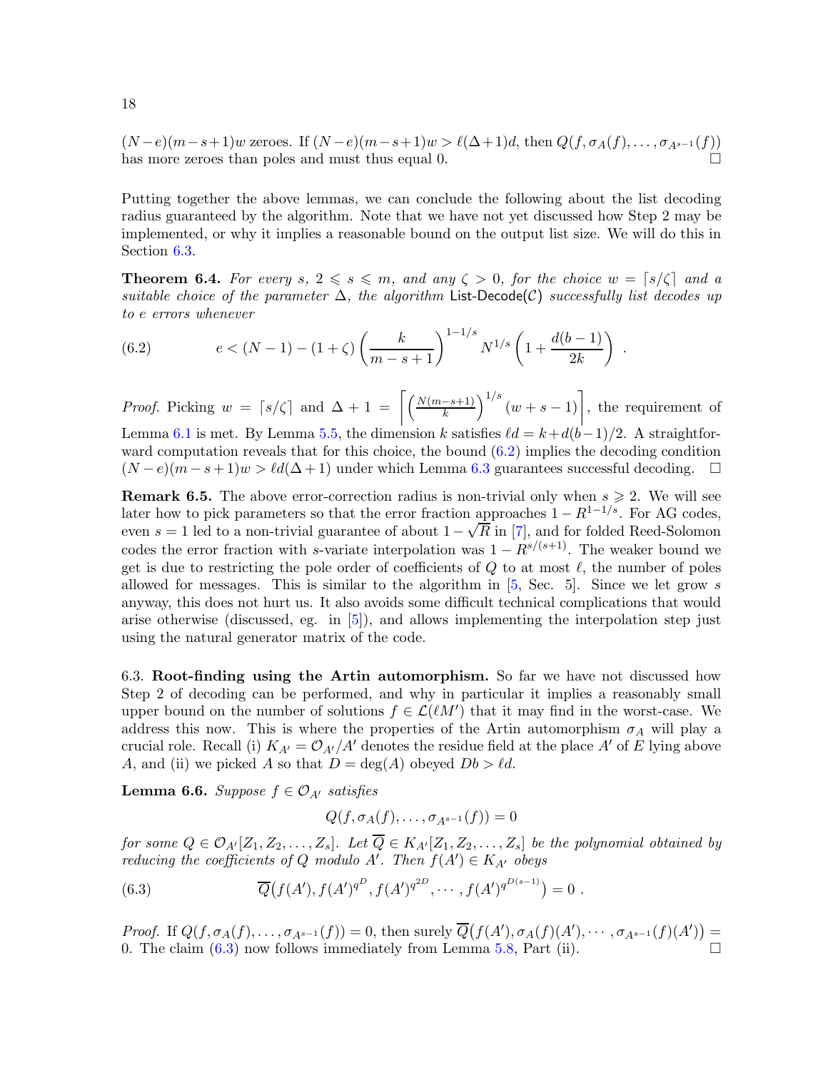$(N-e)(m-s+1)w$  zeroes. If  $(N-e)(m-s+1)w > \ell(\Delta+1)d$ , then  $Q(f, \sigma_A(f), \ldots, \sigma_{A^{s-1}}(f))$ has more zeroes than poles and must thus equal 0.

Putting together the above lemmas, we can conclude the following about the list decoding radius guaranteed by the algorithm. Note that we have not yet discussed how Step 2 may be implemented, or why it implies a reasonable bound on the output list size. We will do this in Section [6.3.](#page-17-0)

<span id="page-17-3"></span>**Theorem 6.4.** For every s,  $2 \le s \le m$ , and any  $\zeta > 0$ , for the choice  $w = \lfloor s/\zeta \rfloor$  and a suitable choice of the parameter  $\Delta$ , the algorithm List-Decode(C) successfully list decodes up to e errors whenever

<span id="page-17-1"></span>(6.2) 
$$
e < (N-1) - (1+\zeta) \left(\frac{k}{m-s+1}\right)^{1-1/s} N^{1/s} \left(1 + \frac{d(b-1)}{2k}\right).
$$

*Proof.* Picking  $w = \lceil s/\zeta \rceil$  and  $\Delta + 1 = \left[ \left( \frac{N(m-s+1)}{k} \right)^{1/s} (w+s-1) \right]$ , the requirement of Lemma [6.1](#page-15-1) is met. By Lemma [5.5,](#page-13-2) the dimension k satisfies  $\ell d = k+d(b-1)/2$ . A straightforward computation reveals that for this choice, the bound [\(6.2\)](#page-17-1) implies the decoding condition  $(N - e)(m - s + 1)w > \ell d(\Delta + 1)$  under which Lemma [6.3](#page-16-1) guarantees successful decoding.  $\square$ 

**Remark 6.5.** The above error-correction radius is non-trivial only when  $s \geq 2$ . We will see later how to pick parameters so that the error fraction approaches  $1 - R^{1-1/s}$ . For AG codes, even  $s = 1$  led to a non-trivial guarantee of about  $1 - \sqrt{R}$  in [\[7\]](#page-22-20), and for folded Reed-Solomon codes the error fraction with s-variate interpolation was  $1 - R^{s/(s+1)}$ . The weaker bound we get is due to restricting the pole order of coefficients of  $Q$  to at most  $\ell$ , the number of poles allowed for messages. This is similar to the algorithm in  $[5, \text{Sec. } 5]$ . Since we let grow s anyway, this does not hurt us. It also avoids some difficult technical complications that would arise otherwise (discussed, eg. in [\[5\]](#page-22-4)), and allows implementing the interpolation step just using the natural generator matrix of the code.

<span id="page-17-0"></span>6.3. Root-finding using the Artin automorphism. So far we have not discussed how Step 2 of decoding can be performed, and why in particular it implies a reasonably small upper bound on the number of solutions  $f \in \mathcal{L}(\ell M')$  that it may find in the worst-case. We address this now. This is where the properties of the Artin automorphism  $\sigma_A$  will play a crucial role. Recall (i)  $K_{A'} = \mathcal{O}_{A'}/A'$  denotes the residue field at the place A' of E lying above A, and (ii) we picked A so that  $D = \deg(A)$  obeyed  $Db > \ell d$ .

**Lemma 6.6.** Suppose  $f \in \mathcal{O}_{A'}$  satisfies

 $Q(f, \sigma_A(f), \ldots, \sigma_{A^{s-1}}(f)) = 0$ 

for some  $Q \in \mathcal{O}_{A'}[Z_1, Z_2, \ldots, Z_s]$ . Let  $\overline{Q} \in K_{A'}[Z_1, Z_2, \ldots, Z_s]$  be the polynomial obtained by reducing the coefficients of Q modulo A'. Then  $f(A') \in K_{A'}$  obeys

<span id="page-17-2"></span>(6.3) 
$$
\overline{Q}(f(A'), f(A')^{q^D}, f(A')^{q^{2D}}, \cdots, f(A')^{q^{D(s-1)}}) = 0.
$$

Proof. If  $Q(f, \sigma_A(f),..., \sigma_{A^{s-1}}(f)) = 0$ , then surely  $\overline{Q}(f(A'), \sigma_A(f)(A'),..., \sigma_{A^{s-1}}(f)(A')) =$ 0. The claim  $(6.3)$  now follows immediately from Lemma [5.8,](#page-14-2) Part (ii).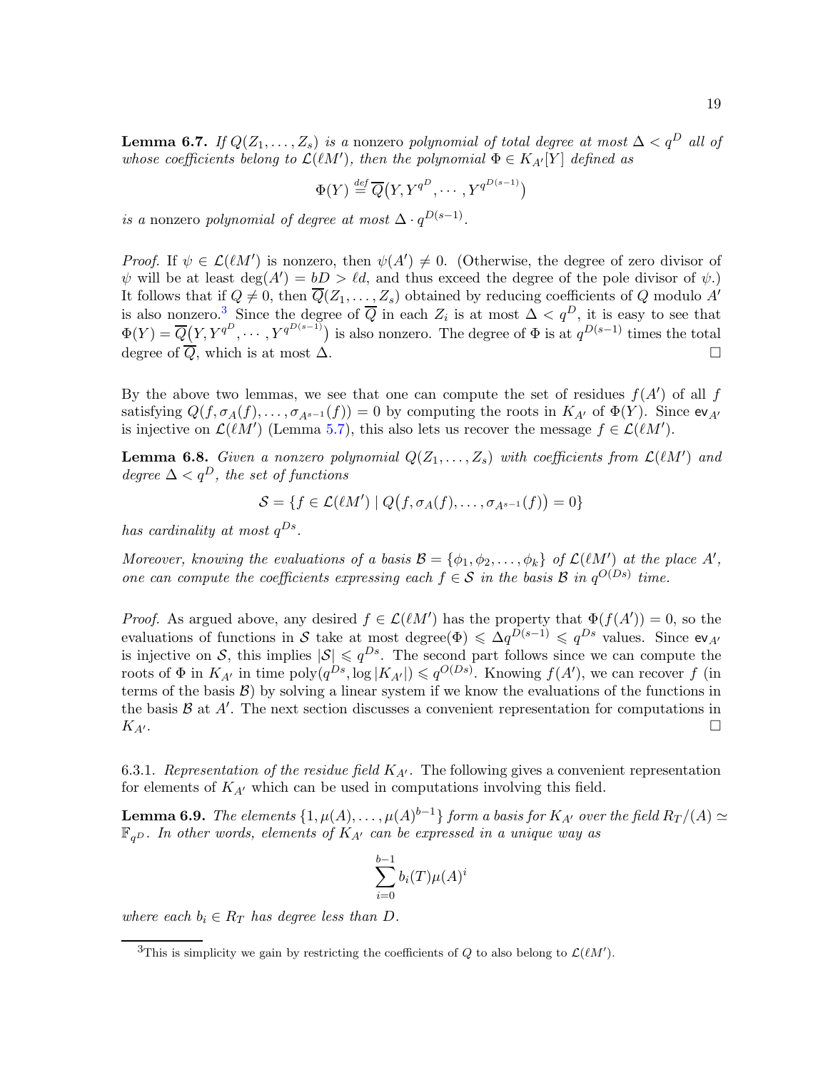**Lemma 6.7.** If  $Q(Z_1,\ldots,Z_s)$  is a nonzero polynomial of total degree at most  $\Delta < q^D$  all of whose coefficients belong to  $\mathcal{L}(\ell M')$ , then the polynomial  $\Phi \in K_{A'}[Y]$  defined as

$$
\Phi(Y) \stackrel{\text{def}}{=} \overline{Q}(Y, Y^{q^D}, \cdots, Y^{q^{D(s-1)}})
$$

is a nonzero polynomial of degree at most  $\Delta \cdot q^{D(s-1)}$ .

*Proof.* If  $\psi \in \mathcal{L}(\ell M')$  is nonzero, then  $\psi(A') \neq 0$ . (Otherwise, the degree of zero divisor of  $\psi$  will be at least  $deg(A') = bD > \ell d$ , and thus exceed the degree of the pole divisor of  $\psi$ .) It follows that if  $Q \neq 0$ , then  $\overline{Q}(Z_1,\ldots,Z_s)$  obtained by reducing coefficients of Q modulo A' is also nonzero.<sup>[3](#page-18-0)</sup> Since the degree of  $\overline{Q}$  in each  $Z_i$  is at most  $\Delta < q^D$ , it is easy to see that  $\Phi(Y) = \overline{Q}(Y, Y^{q^D}, \dots, Y^{q^{D(s-1)}})$  is also nonzero. The degree of  $\Phi$  is at  $q^{D(s-1)}$  times the total degree of  $\overline{Q}$ , which is at most  $\Delta$ .

By the above two lemmas, we see that one can compute the set of residues  $f(A')$  of all f satisfying  $Q(f, \sigma_A(f), \ldots, \sigma_{A^{s-1}}(f)) = 0$  by computing the roots in  $K_{A'}$  of  $\Phi(Y)$ . Since  $ev_{A'}$ is injective on  $\mathcal{L}(\ell M')$  (Lemma [5.7\)](#page-14-3), this also lets us recover the message  $f \in \mathcal{L}(\ell M')$ .

<span id="page-18-2"></span>**Lemma 6.8.** Given a nonzero polynomial  $Q(Z_1, ..., Z_s)$  with coefficients from  $\mathcal{L}(lM')$  and degree  $\Delta < q^D$ , the set of functions

$$
S = \{ f \in \mathcal{L}(\ell M') \mid Q(f, \sigma_A(f), \ldots, \sigma_{A^{s-1}}(f)) = 0 \}
$$

has cardinality at most  $q^{Ds}$ .

Moreover, knowing the evaluations of a basis  $\mathcal{B} = \{\phi_1, \phi_2, \ldots, \phi_k\}$  of  $\mathcal{L}(lM')$  at the place  $A'$ , one can compute the coefficients expressing each  $f \in S$  in the basis B in  $q^{O(Ds)}$  time.

*Proof.* As argued above, any desired  $f \in \mathcal{L}(\ell M')$  has the property that  $\Phi(f(A')) = 0$ , so the evaluations of functions in S take at most degree $(\Phi) \leq \Delta q^{D(s-1)} \leq q^{Ds}$  values. Since ev<sub>A</sub> is injective on S, this implies  $|S| \leq q^{Ds}$ . The second part follows since we can compute the roots of  $\Phi$  in  $K_{A'}$  in time poly $(q^{Ds}, \log |K_{A'}|) \leqslant q^{O(Ds)}$ . Knowing  $f(A')$ , we can recover f (in terms of the basis  $\mathcal{B}$ ) by solving a linear system if we know the evaluations of the functions in the basis  $\mathcal{B}$  at  $A'$ . The next section discusses a convenient representation for computations in  $K_{A'}$ .

<span id="page-18-1"></span>6.3.1. Representation of the residue field  $K_{A'}$ . The following gives a convenient representation for elements of  $K_{A}$  which can be used in computations involving this field.

**Lemma 6.9.** The elements  $\{1, \mu(A), \ldots, \mu(A)^{b-1}\}$  form a basis for  $K_{A'}$  over the field  $R_T/(A) \simeq$  $\mathbb{F}_{qD}$ . In other words, elements of  $K_{A'}$  can be expressed in a unique way as

$$
\sum_{i=0}^{b-1} b_i(T)\mu(A)^i
$$

where each  $b_i \in R_T$  has degree less than D.

<span id="page-18-0"></span><sup>&</sup>lt;sup>3</sup>This is simplicity we gain by restricting the coefficients of Q to also belong to  $\mathcal{L}(lM')$ .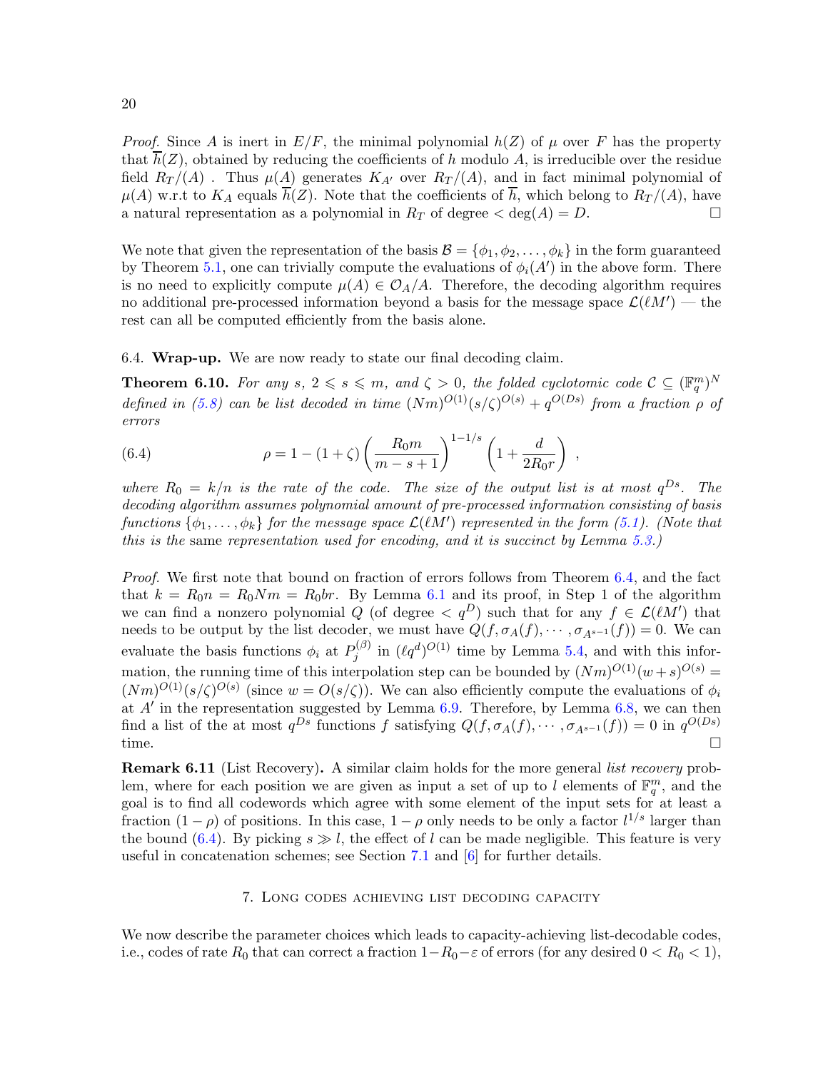20

*Proof.* Since A is inert in  $E/F$ , the minimal polynomial  $h(Z)$  of  $\mu$  over F has the property that  $\overline{h}(Z)$ , obtained by reducing the coefficients of h modulo A, is irreducible over the residue field  $R_T/(A)$ . Thus  $\mu(A)$  generates  $K_{A'}$  over  $R_T/(A)$ , and in fact minimal polynomial of  $\mu(A)$  w.r.t to  $K_A$  equals  $\overline{h}(Z)$ . Note that the coefficients of  $\overline{h}$ , which belong to  $R_T/(A)$ , have a natural representation as a polynomial in  $R_T$  of degree  $\langle \deg(A) = D$ .

We note that given the representation of the basis  $\mathcal{B} = \{\phi_1, \phi_2, \dots, \phi_k\}$  in the form guaranteed by Theorem [5.1,](#page-10-2) one can trivially compute the evaluations of  $\phi_i(A')$  in the above form. There is no need to explicitly compute  $\mu(A) \in \mathcal{O}_A/A$ . Therefore, the decoding algorithm requires no additional pre-processed information beyond a basis for the message space  $\mathcal{L}(\ell M')$  — the rest can all be computed efficiently from the basis alone.

<span id="page-19-1"></span>6.4. Wrap-up. We are now ready to state our final decoding claim.

**Theorem 6.10.** For any  $s, 2 \le s \le m$ , and  $\zeta > 0$ , the folded cyclotomic code  $C \subseteq (\mathbb{F}_q^m)^N$ defined in [\(5.8\)](#page-14-1) can be list decoded in time  $(Nm)^{O(1)}(s/\zeta)^{O(s)} + q^{O(Ds)}$  from a fraction  $\rho$  of errors

<span id="page-19-2"></span>(6.4) 
$$
\rho = 1 - (1 + \zeta) \left( \frac{R_0 m}{m - s + 1} \right)^{1 - 1/s} \left( 1 + \frac{d}{2R_0 r} \right) ,
$$

where  $R_0 = k/n$  is the rate of the code. The size of the output list is at most  $q^{Ds}$ . The decoding algorithm assumes polynomial amount of pre-processed information consisting of basis functions  $\{\phi_1, \ldots, \phi_k\}$  for the message space  $\mathcal{L}(\ell M')$  represented in the form [\(5.1\)](#page-10-3). (Note that this is the same representation used for encoding, and it is succinct by Lemma [5.3.](#page-11-3))

Proof. We first note that bound on fraction of errors follows from Theorem [6.4,](#page-17-3) and the fact that  $k = R_0 n = R_0 N m = R_0 b r$ . By Lemma [6.1](#page-15-1) and its proof, in Step 1 of the algorithm we can find a nonzero polynomial Q (of degree  $\langle q^D \rangle$  such that for any  $f \in \mathcal{L}(lM')$  that needs to be output by the list decoder, we must have  $Q(f, \sigma_A(f), \cdots, \sigma_{A^{s-1}}(f)) = 0$ . We can evaluate the basis functions  $\phi_i$  at  $P_j^{(\beta)}$  $j^{(\beta)}$  in  $(\ell q^d)^{O(1)}$  time by Lemma [5.4,](#page-12-2) and with this information, the running time of this interpolation step can be bounded by  $(Nm)^{O(1)}(w+s)^{O(s)} =$  $(Nm)^{O(1)}(s/\zeta)^{O(s)}$  (since  $w = O(s/\zeta)$ ). We can also efficiently compute the evaluations of  $\phi_i$ at  $A'$  in the representation suggested by Lemma [6.9.](#page-18-1) Therefore, by Lemma [6.8,](#page-18-2) we can then find a list of the at most  $q^{Ds}$  functions f satisfying  $Q(f, \sigma_A(f), \cdots, \sigma_{A^{s-1}}(f)) = 0$  in  $q^{O(Ds)}$ time.  $\square$ 

<span id="page-19-3"></span>**Remark 6.11** (List Recovery). A similar claim holds for the more general *list recovery* problem, where for each position we are given as input a set of up to l elements of  $\mathbb{F}_q^m$ , and the goal is to find all codewords which agree with some element of the input sets for at least a fraction  $(1 - \rho)$  of positions. In this case,  $1 - \rho$  only needs to be only a factor  $l^{1/s}$  larger than the bound [\(6.4\)](#page-19-2). By picking  $s \gg l$ , the effect of l can be made negligible. This feature is very useful in concatenation schemes; see Section [7.1](#page-21-0) and  $[6]$  for further details.

## 7. Long codes achieving list decoding capacity

<span id="page-19-0"></span>We now describe the parameter choices which leads to capacity-achieving list-decodable codes, i.e., codes of rate  $R_0$  that can correct a fraction  $1-R_0-\varepsilon$  of errors (for any desired  $0 < R_0 < 1$ ),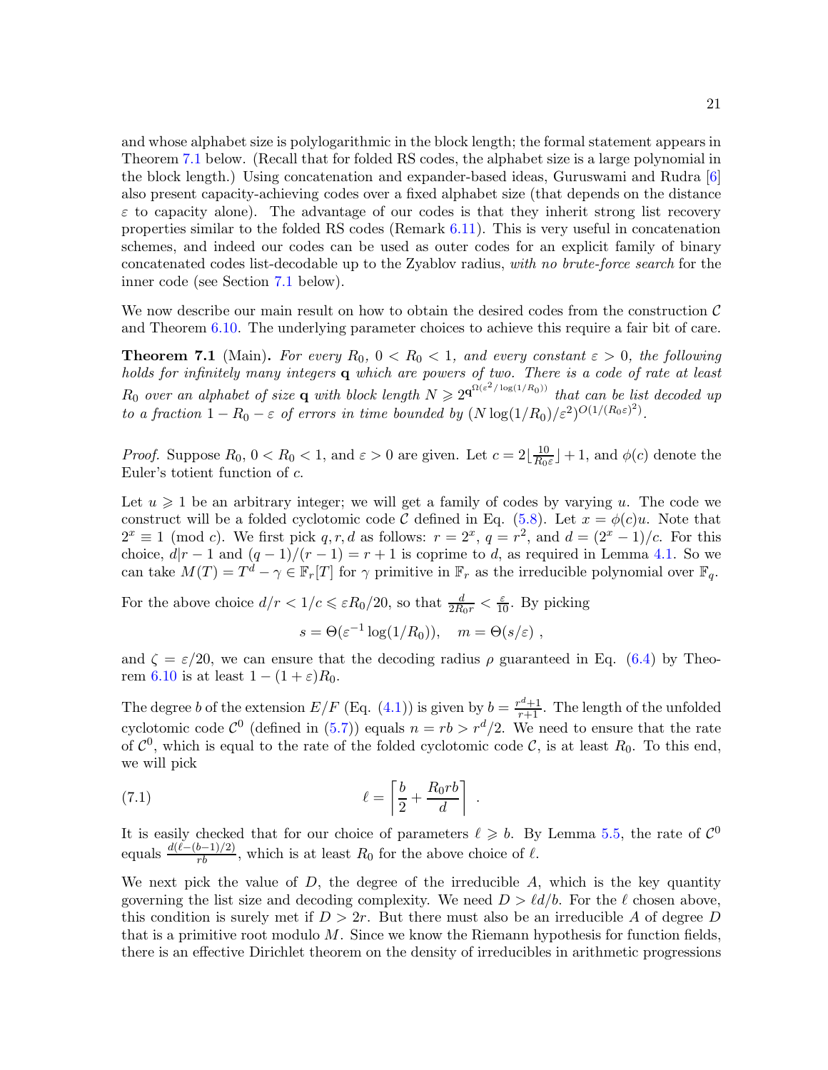and whose alphabet size is polylogarithmic in the block length; the formal statement appears in Theorem [7.1](#page-20-0) below. (Recall that for folded RS codes, the alphabet size is a large polynomial in the block length.) Using concatenation and expander-based ideas, Guruswami and Rudra [\[6\]](#page-22-3) also present capacity-achieving codes over a fixed alphabet size (that depends on the distance  $\varepsilon$  to capacity alone). The advantage of our codes is that they inherit strong list recovery properties similar to the folded RS codes (Remark [6.11\)](#page-19-3). This is very useful in concatenation schemes, and indeed our codes can be used as outer codes for an explicit family of binary concatenated codes list-decodable up to the Zyablov radius, with no brute-force search for the inner code (see Section [7.1](#page-21-0) below).

<span id="page-20-0"></span>We now describe our main result on how to obtain the desired codes from the construction  $\mathcal C$ and Theorem [6.10.](#page-19-1) The underlying parameter choices to achieve this require a fair bit of care.

**Theorem 7.1** (Main). For every  $R_0$ ,  $0 < R_0 < 1$ , and every constant  $\varepsilon > 0$ , the following holds for infinitely many integers  $q$  which are powers of two. There is a code of rate at least  $R_0$  over an alphabet of size **q** with block length  $N \geq 2^{\mathbf{q}^{\Omega(\varepsilon^2/\log(1/R_0))}}$  that can be list decoded up to a fraction  $1 - R_0 - \varepsilon$  of errors in time bounded by  $(N \log(1/R_0)/\varepsilon^2)^{O(1/(R_0\varepsilon)^2)}$ .

*Proof.* Suppose  $R_0$ ,  $0 < R_0 < 1$ , and  $\varepsilon > 0$  are given. Let  $c = 2\left\lfloor \frac{10}{R_0} \right\rfloor$  $\frac{10}{R_0 \varepsilon}$  + 1, and  $\phi(c)$  denote the Euler's totient function of c.

Let  $u \geq 1$  be an arbitrary integer; we will get a family of codes by varying u. The code we construct will be a folded cyclotomic code C defined in Eq. [\(5.8\)](#page-14-1). Let  $x = \phi(c)u$ . Note that  $2^x \equiv 1 \pmod{c}$ . We first pick q, r, d as follows:  $r = 2^x$ ,  $q = r^2$ , and  $d = (2^x - 1)/c$ . For this choice,  $d|r-1$  and  $(q-1)/(r-1) = r+1$  is coprime to d, as required in Lemma [4.1.](#page-6-1) So we can take  $M(T) = T^d - \gamma \in \mathbb{F}_r[T]$  for  $\gamma$  primitive in  $\mathbb{F}_r$  as the irreducible polynomial over  $\mathbb{F}_q$ .

For the above choice  $d/r < 1/c \leq \varepsilon R_0/20$ , so that  $\frac{d}{2R_0r} < \frac{\varepsilon}{10}$ . By picking

$$
s = \Theta(\varepsilon^{-1} \log(1/R_0)), \quad m = \Theta(s/\varepsilon) ,
$$

and  $\zeta = \varepsilon/20$ , we can ensure that the decoding radius  $\rho$  guaranteed in Eq. [\(6.4\)](#page-19-2) by Theo-rem [6.10](#page-19-1) is at least  $1 - (1 + \varepsilon)R_0$ .

The degree b of the extension  $E/F$  (Eq. [\(4.1\)](#page-7-2)) is given by  $b = \frac{r^d+1}{r+1}$ . The length of the unfolded cyclotomic code  $\mathcal{C}^0$  (defined in [\(5.7\)](#page-13-3)) equals  $n = rb > r^d/2$ . We need to ensure that the rate of  $\mathcal{C}^0$ , which is equal to the rate of the folded cyclotomic code  $\mathcal{C}$ , is at least  $R_0$ . To this end, we will pick

(7.1) 
$$
\ell = \left\lceil \frac{b}{2} + \frac{R_0 r b}{d} \right\rceil
$$

It is easily checked that for our choice of parameters  $\ell \geq b$ . By Lemma [5.5,](#page-13-2) the rate of  $\mathcal{C}^0$ equals  $\frac{d(\ell-(b-1)/2)}{rb}$ , which is at least  $R_0$  for the above choice of  $\ell$ .

.

We next pick the value of  $D$ , the degree of the irreducible  $A$ , which is the key quantity governing the list size and decoding complexity. We need  $D > \ell d/b$ . For the  $\ell$  chosen above, this condition is surely met if  $D > 2r$ . But there must also be an irreducible A of degree D that is a primitive root modulo M. Since we know the Riemann hypothesis for function fields, there is an effective Dirichlet theorem on the density of irreducibles in arithmetic progressions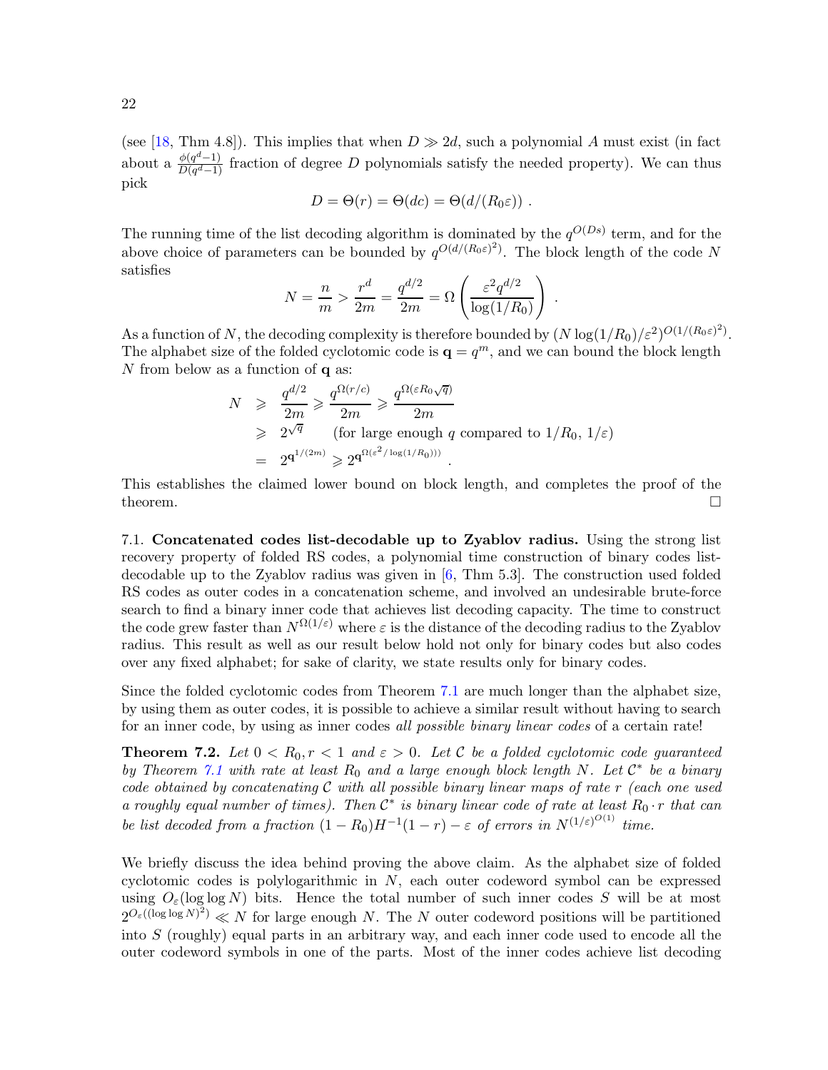(see [\[18,](#page-22-11) Thm 4.8]). This implies that when  $D \gg 2d$ , such a polynomial A must exist (in fact about a  $\frac{\phi(q^d-1)}{D(q^d-1)}$  fraction of degree D polynomials satisfy the needed property). We can thus pick

$$
D = \Theta(r) = \Theta(dc) = \Theta(d/(R_0 \varepsilon)) \ .
$$

The running time of the list decoding algorithm is dominated by the  $q^{O(Ds)}$  term, and for the above choice of parameters can be bounded by  $q^{O(d/(R_0\varepsilon)^2)}$ . The block length of the code N satisfies

$$
N = \frac{n}{m} > \frac{r^d}{2m} = \frac{q^{d/2}}{2m} = \Omega \left( \frac{\varepsilon^2 q^{d/2}}{\log(1/R_0)} \right) .
$$

As a function of N, the decoding complexity is therefore bounded by  $(N \log(1/R_0)/\varepsilon^2)^{O(1/(R_0\varepsilon)^2)}$ . The alphabet size of the folded cyclotomic code is  $\mathbf{q} = q^m$ , and we can bound the block length  $N$  from below as a function of  ${\bf q}$  as:

$$
N \geq \frac{q^{d/2}}{2m} \geq \frac{q^{\Omega(r/c)}}{2m} \geq \frac{q^{\Omega(\varepsilon R_0 \sqrt{q})}}{2m}
$$
  
\n
$$
\geq 2^{\sqrt{q}}
$$
 (for large enough q compared to  $1/R_0, 1/\varepsilon$ )  
\n
$$
= 2^{q^{1/(2m)}} \geq 2^{q^{\Omega(\varepsilon^2/\log(1/R_0)))}}.
$$

<span id="page-21-0"></span>This establishes the claimed lower bound on block length, and completes the proof of the theorem.  $\Box$ 

7.1. Concatenated codes list-decodable up to Zyablov radius. Using the strong list recovery property of folded RS codes, a polynomial time construction of binary codes listdecodable up to the Zyablov radius was given in [\[6,](#page-22-3) Thm 5.3]. The construction used folded RS codes as outer codes in a concatenation scheme, and involved an undesirable brute-force search to find a binary inner code that achieves list decoding capacity. The time to construct the code grew faster than  $N^{\Omega(1/\varepsilon)}$  where  $\varepsilon$  is the distance of the decoding radius to the Zyablov radius. This result as well as our result below hold not only for binary codes but also codes over any fixed alphabet; for sake of clarity, we state results only for binary codes.

Since the folded cyclotomic codes from Theorem [7.1](#page-20-0) are much longer than the alphabet size, by using them as outer codes, it is possible to achieve a similar result without having to search for an inner code, by using as inner codes all possible binary linear codes of a certain rate!

<span id="page-21-1"></span>**Theorem 7.2.** Let  $0 < R_0, r < 1$  and  $\varepsilon > 0$ . Let C be a folded cyclotomic code guaranteed by Theorem [7.1](#page-20-0) with rate at least  $R_0$  and a large enough block length N. Let  $\mathcal{C}^*$  be a binary code obtained by concatenating  $C$  with all possible binary linear maps of rate  $r$  (each one used a roughly equal number of times). Then  $\mathcal{C}^*$  is binary linear code of rate at least  $R_0 \cdot r$  that can be list decoded from a fraction  $(1 - R_0)H^{-1}(1 - r) - \varepsilon$  of errors in  $N^{(1/\varepsilon)^{O(1)}}$  time.

We briefly discuss the idea behind proving the above claim. As the alphabet size of folded cyclotomic codes is polylogarithmic in N, each outer codeword symbol can be expressed using  $O_{\varepsilon}(\log \log N)$  bits. Hence the total number of such inner codes S will be at most  $2^{O_{\varepsilon}((\log \log N)^2)} \ll N$  for large enough N. The N outer codeword positions will be partitioned into  $S$  (roughly) equal parts in an arbitrary way, and each inner code used to encode all the outer codeword symbols in one of the parts. Most of the inner codes achieve list decoding

22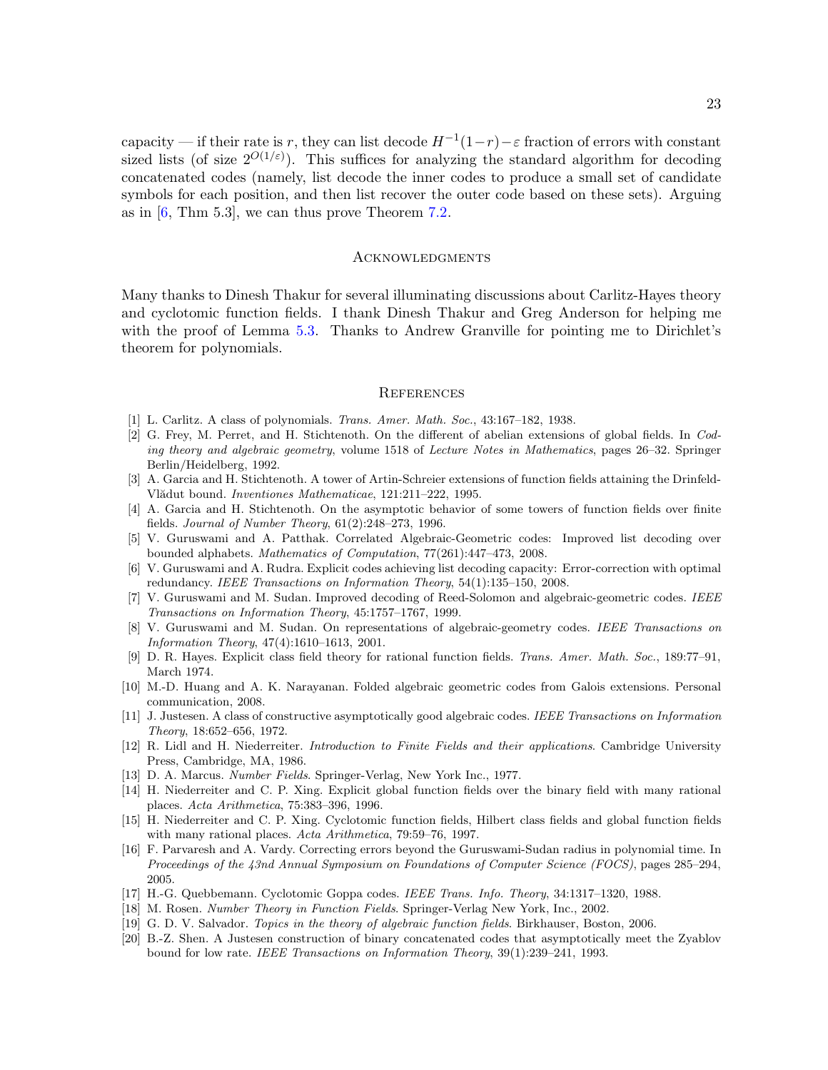capacity — if their rate is r, they can list decode  $H^{-1}(1-r) - \varepsilon$  fraction of errors with constant sized lists (of size  $2^{O(1/\varepsilon)}$ ). This suffices for analyzing the standard algorithm for decoding concatenated codes (namely, list decode the inner codes to produce a small set of candidate symbols for each position, and then list recover the outer code based on these sets). Arguing as in  $[6, Thm 5.3]$ , we can thus prove Theorem [7.2.](#page-21-1)

## **ACKNOWLEDGMENTS**

<span id="page-22-0"></span>Many thanks to Dinesh Thakur for several illuminating discussions about Carlitz-Hayes theory and cyclotomic function fields. I thank Dinesh Thakur and Greg Anderson for helping me with the proof of Lemma [5.3.](#page-11-3) Thanks to Andrew Granville for pointing me to Dirichlet's theorem for polynomials.

## **REFERENCES**

- <span id="page-22-10"></span><span id="page-22-5"></span><span id="page-22-1"></span>[1] L. Carlitz. A class of polynomials. Trans. Amer. Math. Soc., 43:167–182, 1938.
- [2] G. Frey, M. Perret, and H. Stichtenoth. On the different of abelian extensions of global fields. In Coding theory and algebraic geometry, volume 1518 of Lecture Notes in Mathematics, pages 26–32. Springer Berlin/Heidelberg, 1992.
- <span id="page-22-7"></span>[3] A. Garcia and H. Stichtenoth. A tower of Artin-Schreier extensions of function fields attaining the Drinfeld-Vlădut bound. *Inventiones Mathematicae*, 121:211–222, 1995.
- <span id="page-22-8"></span>[4] A. Garcia and H. Stichtenoth. On the asymptotic behavior of some towers of function fields over finite fields. Journal of Number Theory, 61(2):248–273, 1996.
- <span id="page-22-4"></span>[5] V. Guruswami and A. Patthak. Correlated Algebraic-Geometric codes: Improved list decoding over bounded alphabets. Mathematics of Computation, 77(261):447–473, 2008.
- <span id="page-22-3"></span>[6] V. Guruswami and A. Rudra. Explicit codes achieving list decoding capacity: Error-correction with optimal redundancy. IEEE Transactions on Information Theory, 54(1):135–150, 2008.
- <span id="page-22-20"></span>[7] V. Guruswami and M. Sudan. Improved decoding of Reed-Solomon and algebraic-geometric codes. IEEE Transactions on Information Theory, 45:1757–1767, 1999.
- <span id="page-22-21"></span>[8] V. Guruswami and M. Sudan. On representations of algebraic-geometry codes. IEEE Transactions on Information Theory, 47(4):1610–1613, 2001.
- <span id="page-22-6"></span>[9] D. R. Hayes. Explicit class field theory for rational function fields. Trans. Amer. Math. Soc., 189:77–91, March 1974.
- <span id="page-22-17"></span>[10] M.-D. Huang and A. K. Narayanan. Folded algebraic geometric codes from Galois extensions. Personal communication, 2008.
- <span id="page-22-12"></span>[11] J. Justesen. A class of constructive asymptotically good algebraic codes. IEEE Transactions on Information Theory, 18:652–656, 1972.
- <span id="page-22-19"></span>[12] R. Lidl and H. Niederreiter. Introduction to Finite Fields and their applications. Cambridge University Press, Cambridge, MA, 1986.
- <span id="page-22-14"></span><span id="page-22-9"></span>[13] D. A. Marcus. Number Fields. Springer-Verlag, New York Inc., 1977.
- [14] H. Niederreiter and C. P. Xing. Explicit global function fields over the binary field with many rational places. Acta Arithmetica, 75:383–396, 1996.
- <span id="page-22-15"></span>[15] H. Niederreiter and C. P. Xing. Cyclotomic function fields, Hilbert class fields and global function fields with many rational places. Acta Arithmetica, 79:59–76, 1997.
- <span id="page-22-2"></span>[16] F. Parvaresh and A. Vardy. Correcting errors beyond the Guruswami-Sudan radius in polynomial time. In Proceedings of the 43nd Annual Symposium on Foundations of Computer Science (FOCS), pages 285–294, 2005.
- <span id="page-22-16"></span>[17] H.-G. Quebbemann. Cyclotomic Goppa codes. IEEE Trans. Info. Theory, 34:1317–1320, 1988.
- <span id="page-22-18"></span><span id="page-22-11"></span>[18] M. Rosen. Number Theory in Function Fields. Springer-Verlag New York, Inc., 2002.
- <span id="page-22-13"></span>[19] G. D. V. Salvador. Topics in the theory of algebraic function fields. Birkhauser, Boston, 2006.
- [20] B.-Z. Shen. A Justesen construction of binary concatenated codes that asymptotically meet the Zyablov bound for low rate. IEEE Transactions on Information Theory, 39(1):239–241, 1993.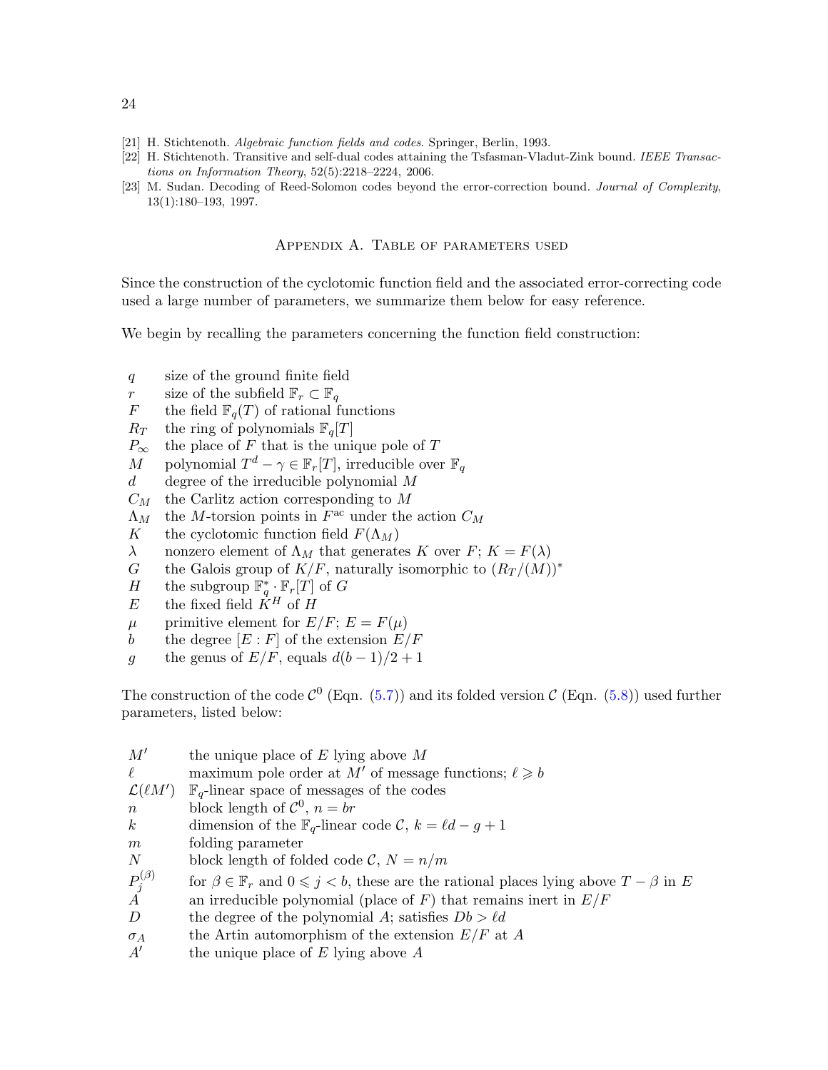- <span id="page-23-3"></span><span id="page-23-2"></span>[21] H. Stichtenoth. Algebraic function fields and codes. Springer, Berlin, 1993.
- <span id="page-23-1"></span>[22] H. Stichtenoth. Transitive and self-dual codes attaining the Tsfasman-Vladut-Zink bound. IEEE Transactions on Information Theory, 52(5):2218–2224, 2006.
- <span id="page-23-0"></span>[23] M. Sudan. Decoding of Reed-Solomon codes beyond the error-correction bound. Journal of Complexity, 13(1):180–193, 1997.

# Appendix A. Table of parameters used

Since the construction of the cyclotomic function field and the associated error-correcting code used a large number of parameters, we summarize them below for easy reference.

We begin by recalling the parameters concerning the function field construction:

- q size of the ground finite field
- r size of the subfield  $\mathbb{F}_r \subset \mathbb{F}_q$ <br>F the field  $\mathbb{F}_q(T)$  of rational f
- the field  $\mathbb{F}_q(T)$  of rational functions
- $R_T$  the ring of polynomials  $\mathbb{F}_q[T]$
- $P_{\infty}$  the place of F that is the unique pole of T<br>  $M$  polynomial  $T^d \gamma \in \mathbb{F}_r[T]$ , irreducible over
- M polynomial  $T^d \gamma \in \mathbb{F}_r[T]$ , irreducible over  $\mathbb{F}_q$
- $d$  degree of the irreducible polynomial M
- $C_M$  the Carlitz action corresponding to M
- $\Lambda_M$  the M-torsion points in  $F^{\text{ac}}$  under the action  $C_M$
- K the cyclotomic function field  $F(\Lambda_M)$
- λ nonzero element of  $Λ_M$  that generates K over  $F$ ;  $K = F(λ)$
- G the Galois group of  $K/F$ , naturally isomorphic to  $(R_T/(M))^*$ <br>H the subgroup  $\mathbb{F}_a^* \cdot \mathbb{F}_r[T]$  of G
- H the subgroup  $\mathbb{F}_q^* \cdot \mathbb{F}_r[T]$  of G
- E the fixed field  $\ddot{K}^H$  of H
- $\mu$  primitive element for  $E/F$ ;  $E = F(\mu)$
- b the degree  $[E : F]$  of the extension  $E/F$
- g the genus of  $E/F$ , equals  $d(b-1)/2+1$

The construction of the code  $C^0$  (Eqn. [\(5.7\)](#page-13-3)) and its folded version  $C$  (Eqn. [\(5.8\)](#page-14-1)) used further parameters, listed below:

| M'                                              | the unique place of $E$ lying above $M$                                                                      |
|-------------------------------------------------|--------------------------------------------------------------------------------------------------------------|
| $\ell$                                          | maximum pole order at M' of message functions; $\ell \geq b$                                                 |
| $\mathcal{L}(\ell M')$                          | $\mathbb{F}_q$ -linear space of messages of the codes                                                        |
| $\,n$                                           | block length of $\mathcal{C}^0$ , $n = br$                                                                   |
| $k_{\parallel}$                                 | dimension of the $\mathbb{F}_q$ -linear code C, $k = \ell d - g + 1$                                         |
| m                                               | folding parameter                                                                                            |
| N                                               | block length of folded code $\mathcal{C}, N = n/m$                                                           |
| $\begin{matrix} P_j^{(\beta)} \ A \end{matrix}$ | for $\beta \in \mathbb{F}_r$ and $0 \leq j < b$ , these are the rational places lying above $T - \beta$ in E |
|                                                 | an irreducible polynomial (place of $F$ ) that remains inert in $E/F$                                        |
| $\boldsymbol{D}$                                | the degree of the polynomial A; satisfies $Db > \ell d$                                                      |
| $\sigma_A$                                      | the Artin automorphism of the extension $E/F$ at A                                                           |
| A'                                              | the unique place of $E$ lying above $A$                                                                      |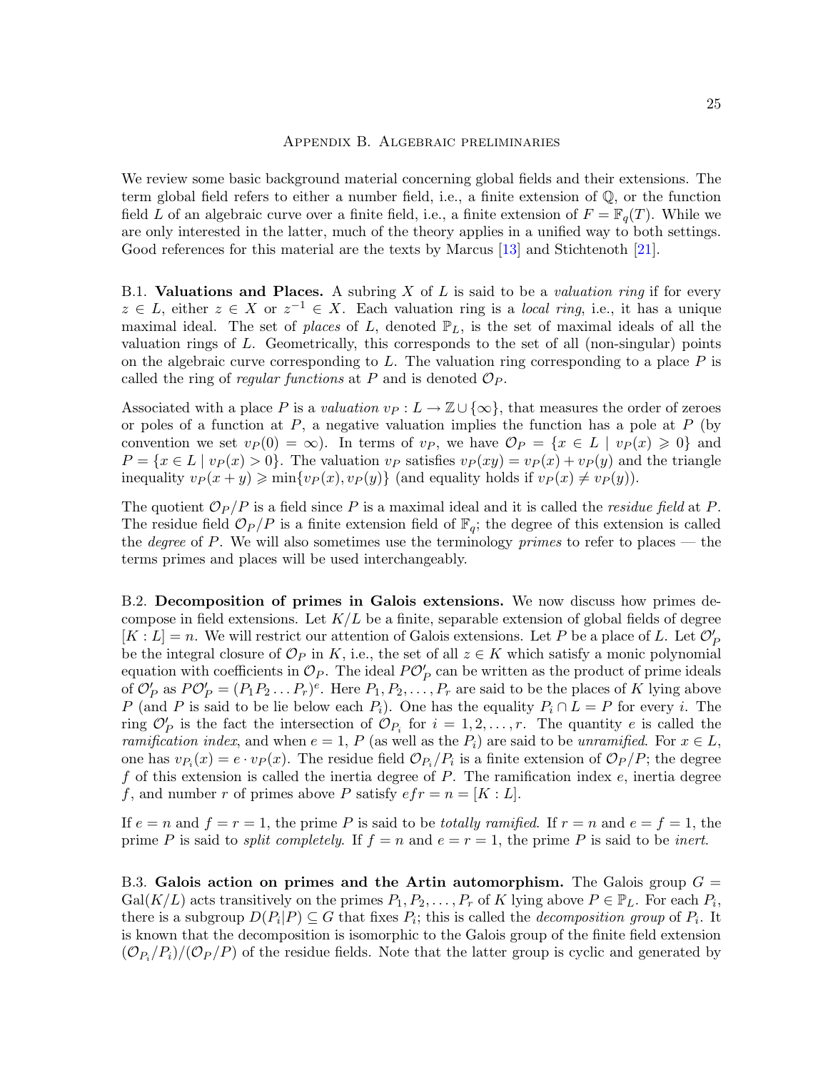## Appendix B. Algebraic preliminaries

<span id="page-24-0"></span>We review some basic background material concerning global fields and their extensions. The term global field refers to either a number field, i.e., a finite extension of Q, or the function field L of an algebraic curve over a finite field, i.e., a finite extension of  $F = \mathbb{F}_q(T)$ . While we are only interested in the latter, much of the theory applies in a unified way to both settings. Good references for this material are the texts by Marcus [\[13\]](#page-22-9) and Stichtenoth [\[21\]](#page-23-3).

B.1. Valuations and Places. A subring  $X$  of  $L$  is said to be a valuation ring if for every  $z \in L$ , either  $z \in X$  or  $z^{-1} \in X$ . Each valuation ring is a *local ring*, i.e., it has a unique maximal ideal. The set of places of L, denoted  $\mathbb{P}_L$ , is the set of maximal ideals of all the valuation rings of L. Geometrically, this corresponds to the set of all (non-singular) points on the algebraic curve corresponding to  $L$ . The valuation ring corresponding to a place  $P$  is called the ring of regular functions at P and is denoted  $\mathcal{O}_P$ .

Associated with a place P is a valuation  $v_P : L \to \mathbb{Z} \cup \{\infty\}$ , that measures the order of zeroes or poles of a function at  $P$ , a negative valuation implies the function has a pole at  $P$  (by convention we set  $v_P(0) = \infty$ ). In terms of  $v_P$ , we have  $\mathcal{O}_P = \{x \in L \mid v_P(x) \geq 0\}$  and  $P = \{x \in L \mid v_P(x) > 0\}.$  The valuation  $v_P$  satisfies  $v_P(xy) = v_P(x) + v_P(y)$  and the triangle inequality  $vp(x+y) \geqslant \min\{vp(x),vp(y)\}\$  (and equality holds if  $vp(x) \neq v_P(y)$ ).

The quotient  $\mathcal{O}_P/P$  is a field since P is a maximal ideal and it is called the *residue field* at P. The residue field  $\mathcal{O}_P/P$  is a finite extension field of  $\mathbb{F}_q$ ; the degree of this extension is called the *degree* of P. We will also sometimes use the terminology *primes* to refer to places — the terms primes and places will be used interchangeably.

B.2. Decomposition of primes in Galois extensions. We now discuss how primes decompose in field extensions. Let  $K/L$  be a finite, separable extension of global fields of degree  $[K: L] = n$ . We will restrict our attention of Galois extensions. Let P be a place of L. Let  $\mathcal{O}'_P$ be the integral closure of  $\mathcal{O}_P$  in K, i.e., the set of all  $z \in K$  which satisfy a monic polynomial equation with coefficients in  $\mathcal{O}_P$ . The ideal  $P\mathcal{O}'_P$  can be written as the product of prime ideals of  $\mathcal{O}'_P$  as  $P\mathcal{O}'_P = (P_1P_2 \dots P_r)^e$ . Here  $P_1, P_2, \dots, P_r$  are said to be the places of K lying above P (and P is said to be lie below each  $P_i$ ). One has the equality  $P_i \cap L = P$  for every i. The ring  $\mathcal{O}_P'$  is the fact the intersection of  $\mathcal{O}_{P_i}$  for  $i = 1, 2, \ldots, r$ . The quantity e is called the ramification index, and when  $e = 1$ , P (as well as the  $P_i$ ) are said to be unramified. For  $x \in L$ , one has  $v_{P_i}(x) = e \cdot v_P(x)$ . The residue field  $\mathcal{O}_{P_i}/P_i$  is a finite extension of  $\mathcal{O}_P/P$ ; the degree f of this extension is called the inertia degree of  $P$ . The ramification index  $e$ , inertia degree f, and number r of primes above P satisfy  $efr = n = [K : L]$ .

If  $e = n$  and  $f = r = 1$ , the prime P is said to be *totally ramified*. If  $r = n$  and  $e = f = 1$ , the prime P is said to *split completely.* If  $f = n$  and  $e = r = 1$ , the prime P is said to be *inert*.

B.3. Galois action on primes and the Artin automorphism. The Galois group  $G =$  $Gal(K/L)$  acts transitively on the primes  $P_1, P_2, \ldots, P_r$  of K lying above  $P \in \mathbb{P}_L$ . For each  $P_i$ , there is a subgroup  $D(P_i|P) \subseteq G$  that fixes  $P_i$ ; this is called the *decomposition group* of  $P_i$ . It is known that the decomposition is isomorphic to the Galois group of the finite field extension  $(\mathcal{O}_{P_i}/P_i)/(\mathcal{O}_P/P)$  of the residue fields. Note that the latter group is cyclic and generated by